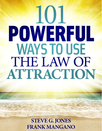# 101 POWERFUL **WAYS TO USE** THE LAW OF **ATTRACTION**

**STEVE G. JONES** FRANK MANGANO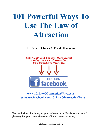# **101 Powerful Ways To Use The Law of Attraction**

**Dr. Steve G Jones & Frank Mangano**



### **[www.101LawOfAttractionWays.com](http://www.101lawofattractionways.com/) <https://www.facebook.com/101LawOfAttractionWays>**

**You can include this in any of your websites or on Facebook, etc. as a free giveaway, but you are not allowed to edit the content in any way.**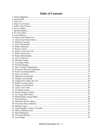## **Table of Contents**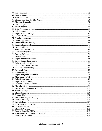| 79. Move Past Grief |  |
|---------------------|--|
|                     |  |
|                     |  |
|                     |  |
|                     |  |
|                     |  |
|                     |  |
|                     |  |
|                     |  |
|                     |  |
|                     |  |
|                     |  |
|                     |  |
|                     |  |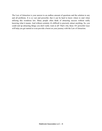The Law of Attraction is your answer to an endless amount of questions and the solution to any and all problems. It is so vast and powerful, that it can be hard to know where to start when utilizing this wondrous law. Many people often think of attracting success without really knowing what it means. And without certainty it's difficult to precisely attract anything. So, you could end up attracting things you don't really want at all! That's why these 101 powerful ways will help you get started or even provide a boost on your journey with the Law of Attraction.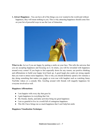<span id="page-6-0"></span>**1. Attract Happiness** - You can have all of the things you ever wanted in the world and without happiness, they will mean nothing to you. This is why attracting happiness should come first on your list of powerful ways to use the Law of Attraction.



**What to do:** Act as if you are happy by putting a smile on your face. This tells the universe that you are accepting happiness and focusing on it. In return, you will be rewarded with happiness around every corner! If you begin to feel especially down for any reason, use positive thinking and affirmations to build your happy level back up. A good laugh also sends out strong signals that you want to attract more happiness. This is why you should definitely spend a few minutes a day doing something that makes you giggle or even roar with laughter such as watching funny YouTube videos or a comedy film. Goofing around with friends will magnify happiness for everyone involved as well.

#### **Happiness Affirmations:**

- I am happier with every day that goes by
- I gain happiness in everything that I do
- My friends, family, and daily activities bring me great happiness
- I am so grateful to live in a world full of contagious happiness
- This life I have brings me so much happiness that I can't help but smile

#### **Happiness Visualization Technique:**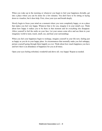When you wake up in the morning or whenever you begin to feel your happiness dwindle, get into a place where you can be alone for a few minutes. You don't have to be sitting or laying down to visualize, but it does help. First, close your eyes and breath deeply.

Slowly begin to focus your mind on a moment where you were completely happy, or on a place that makes you feel very happy. Whatever that is for you, imagine it in your mind's eye. Think about how happy it makes you to be there in that moment and let everything else disappear. Allow yourself to feel the smile on your face. Let your senses come alive and use them in your imaginary world to taste, touch, smell, see, and hear your surroundings.

When you feel your happiness begin to recharge, imagine yourself in your life now, feeling just as happy as you do in your happy place. In circumstances that normally make you feel unhappy, picture yourself going through them happily as ever. Think about how much happiness you have and how their is an abundance of happiness for you at all times.

Open your eyes feeling refreshed, wonderful and above all, very happy! Repeat as needed.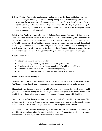<span id="page-8-0"></span>**2. Gain Wealth** - Wealth is having the ability and means to get the things in life that you want and that help you achieve your dreams. Having money is the way our society gifts us with wealth and the universe has an abundance of wealth to give. So why doesn't everyone have wealth, you might ask? That's because they have their wealth attracting magnets set to repel, which is never a good thing! There are some changes you'll need to make before your wealth magnet can reach its full potential.

What to do: Firstly, you must eliminate all beliefs about money that portray it in a negative light. You might not even realize it, but our childhoods are littered with negative comments by parents and other adults about wealth and money. The biggest of these includes "money is evil" or "wealthy people are selfish" but these negative beliefs are simply not true. Instead, think about all of the good you will be able to do when you have obtained wealth. There is nothing evil or selfish about charity work or providing for those you love! Embrace this new relationship with money and welcome more of it into your life with open arms. The universe will reward you.

#### **Wealth Affirmations:**

- I have been and will always be wealthy
- I am continuously increasing my wealth with every passing day
- It makes me feel excited to know that an abundance of wealth is available to me
- Being wealthy fills me with total contentment and pure joy
- Anything that I do always produces a prosperous growth in my wealth

#### **Wealth Visualization Technique:**

Creating a vision board is an excellent visualization technique, especially for amassing wealth. You'll need a poster board, tape or glue, magazines or computer and printer, and a marker.

Think about what it means to you to be wealthy. What would you buy? How much money would you have? Who would be in your life? When you come up with your own personal definition of wealth, look for images in magazines or on the computer that correspond with that idea.

Cut out or print off the images you find that make you think of the wealthy life you want. Glue or tape them to your poster board, with the biggest things in the center and the smaller things around those. Be sure to leave enough room next to each image for an affirmation.

Now create your affirmations by using the present tense form of the statement. For instance, if your idea of wealth is traveling the world, include an image of yourself on a private jet with the affirmations, "My growing wealth allows me to travel the world."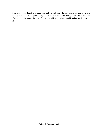Keep your vision board in a place you look several times throughout the day and allow the feelings of actually having those things to stay in your mind. The more you feel those emotions of abundance, the sooner the Law of Attraction will work to bring wealth and prosperity to your life.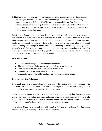<span id="page-10-0"></span>**3. Find Love** - Love is considered to be the most powerful emotion and for good reason. It is something so precious that we can often send out signals to the universe that actually prevent us from ever finding it. Why? Because many people harbor fear, doubt or insecurities about love that keep them stuck in a love rut. Getting out of this rut isn't really hard as long as you develop the proper attitude and do away with some of the feelings that have you stuck in the first place.

**What to do:** Spend some time each day allowing positive feelings about love to become dominant in your mind. Visualize your perfect partner and how amazing they make you feel. Think about the things you will do together and believe that you will have him or her very soon. Find every opportunity to exercise feelings of love. For example, you could adopt a pet, spend time with family or even enjoy a hobby. Focus on those feelings of love deeply and imagine how wonderful it will feel when you can use them on your very own partner. Another great method is to create daily affirmations about finding your true love. Something as simple as, "I fall in love with the perfect person for me and the love is mutual."

#### **Love Affirmations:**

- I am worthy of being loving and being loved in return
- The one that I love is being drawn closer and closer to me right now
- Love is passionate, kind, and completely available to me
- Loving feels amazing and so does being loved
- Being in love is a powerful feeling that I am fully open to experiencing

#### **Love Visualization Technique:**

Go through a day in your mind where you have your perfect partner and you are both deeply in love with each other. Think about what you will do together, the words that you say to each other, and how warm and sensational they feel in your arms.

Allow yourself to picture your lover in vivid detail. Now imagine running into them during your day and how you both feel an immediate and strong connection. Think about what you will talk about when you first meet, what you will have in common, and what kind of things you will do. Allow the feelings of having someone to love bring you great pleasure.

Now release this desire to the universe with complete faith that you will soon find that person and build a loving relationship that can withstand anything.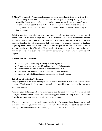<span id="page-11-0"></span>**4. Make True Friends** - We are social creatures that need friendships to truly thrive. Even if you don't have any friends now, with the Law of Attraction, you can develop lasting and true friendships. Many people tend to think negatively about having friends if they don't have any or if they have been betrayed in the past, but the truth is that true friends are worth having. They are your shoulder to lean on in times of trouble and a great source of joy in times of peace.

What to do: You must eliminate any insecurities that tell you that you're not deserving of friends. This can be done through visualization exercises and positive affirmations. Picture yourself feeling confident and secure of yourself. Then visualize making friends and enjoying activities together. Repeat affirmations daily that target your specific reasons for thinking negatively about friendships. For instance, if you feel that you are not worthy of friends because you are too shy, use the affirmation, "I am worthy of friends because I am kind." Adjust the affirmation to help you overcome any negativity surrounding friendship and the universe will respond.

#### **Affirmations for Friendships:**

- I am completely deserving of having true and loyal friends
- Friends are a big part of my life and they make me feel complete
- I easily attract the kind of friends that make my life better
- Every day I attract more positive and friendly people into my life
- People are attracted to me because I am a naturally friendly person

#### **Friendship Visualization Technique:**

Imagine yourself in the place where you would like to meet with friends to enjoy each other's company. Think about laughing, goofing around, doing activities you enjoy, and just having a great time together.

Visualize yourself having a lot of fun with your friends. Picture how you meet your friends and what you have in common. While you are visualizing your friendships, keep in mind that you are deserving of friends and how easy it is for you to make friends.

If you feel insecure about a particular part of making friends, practice doing them flawlessly and with great reward in your visualizations. For example, if you are shy and don't feel comfortable looking at someone in the eyes, practice doing this in your visualized situation.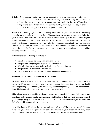<span id="page-12-0"></span>**5. Follow Your Passion** - Following your passion is all about doing what makes you feel alive and in tune with the universal life force. There are things that evoke strong positive emotions and these things are your passions. No matter what your passion is, the Law of Attraction can help you follow it. Whether you love gaming, painting, writing, technology, science, or anything else, following your passion is the gateway to success.

What to do: Don't judge yourself for loving what you are passionate about. If something compels you to act, allow yourself to do it. Of course there are obvious exceptions to following your passions. You don't want to be passionate about anything destructive. When judging whether a passion is a passion rather than an obsession or addiction, ask yourself if it is making a positive difference or a negative one. That will help you become clear about what your passions truly are so that you can devote your focus to them. Never allow obsessions and addictions to remain in your life. Fuel your passions by learning everything you can about them and taking action to make them possible.

#### **Affirmations for Following Your Passion:**

- I am free to pursue the things I am passionate about
- My passions bring me great happiness and abundance
- When I follow my passion it always leads me in the right direction
- My passions can be used in a positive way
- I am capable of turning my passion into a productive opportunities

#### **Visualization Technique for Following Your Passion:**

Be honest with yourself about what you are passionate about rather than others to persuade you otherwise. If you enjoy something and it brings you great happiness, this is what you should focus on pursuing. You can always be outstanding at something when you have passion behind it. Keep this in mind when you close your eyes to begin visualizing.

Think about yourself as an older version of you that has accomplished turning their passion into something that generates wealth, happiness and all of the things that you want. Envision yourself going through a day as this version of yourself and pay close attention to how you act, what you feel, who is with you and what you are doing.

Now think back as if looking through memories and ask yourself how you got there? Let your mind lead you towards the path and welcome the answers to your success in following your passion. Repeat this exercise daily until you are sure of your plans to pursue your passion.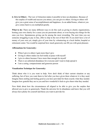<span id="page-13-0"></span>**6. Give to Others** - The Law of Attraction makes it possible to have an abundance. Because of this surplus of wealth and success you attract, you can give to others. Giving to others will give you a great sense of accomplishment and happiness. As an added bonus, whatever you give comes back to you multiplied greatly.

What to do: There are many different ways to do this such as giving to charity organizations, hosting your own charity for a cause you are passionate about, or even buying nice things for the ones you love. Spontaneous giving can be among the most rewarding. The next time you see someone struggling to pay in line, offer to chip in the rest of their bill. If you don't have a lot of money of your own yet, simply give of your time by volunteering at a local shelter, hospital or retirement center. You would be surprised how much generosity can fill you with great pleasure.

#### **Affirmations for Generosity:**

- When I give to others I gain more than I give
- Giving to others makes me feel totally at peace with myself
- I give to others because I have more than enough for myself
- There is an unlimited abundance for everyone and I want to help spread it
- I am a caring, compassionate and generous person

#### **Visualization Technique for Generosity:**

Think about who it is you want to help. Now don't think of their current situation or any suffering, but of how you want them to feel after you have given them whatever it is they need. Imagine them smiling and feeling good as you have provided for them exactly what they needed. Imagine how grateful they are to you and how wonderful it feels to give them what they needed.

Now think about how the circumstances all aligned to be able to give you the surplus that allowed you to give so generously. Thank the universe for its abundance and know that you will always have plenty for yourself and those you want to provide for.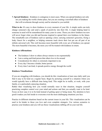<span id="page-14-0"></span>**7. Spread Kindness** - Kindness is contagious is most cases. When you spread kindness not only are you making the world a better place, but you are creating a snowball effect of kindness that will reverberate through society and be returned to you tenfold.

What to do: It's easy to show kindness in every moment of your life. A simple smile can truly change someone's day and send a spark of positivity into their life. A single helping hand to someone in need will be remembered for many years to come. Those you show kindness too now will never forget what you did and become inspired to spread their own kindness in the future. The remarkable acts of kindness such as opening a door, carrying someone's groceries, fixing a leaky faucet for a neighbor, or helping someone track down their lost pet are all part of an infinite universal web. This web becomes more beautiful with every act of kindness you spread. The more beautiful it becomes, the more you will be treated with kindness in return.

#### **Kindness Affirmations:**

- The kindness I show to others always returns to me exponentially
- I am a caring and kind person that others love to be around
- Consideration for others is extremely important to me
- Every day I become a kinder, better person
- Every time I am kind, it spreads positive energy through the world

#### **Kindness Visualizations:**

If you are struggling with kindness, you should do this visualization at least once daily until you find it easy to be kind on a regular basis. Begin by picturing yourself in a situation where you would typically have a difficult time being kind. This might be in traffic, at work, with your family, or a particularly annoying situation.

Rather than visualizing how you would normally react in that situation, imagine yourself practicing complete control over your mind and actions and that you actually want to be kind. Focus on how easy it is to be kind instead of getting upset or being mean. Pay attention to how good it makes you feel inside to overcome even the most challenging situations you face.

Practice in different situations based on the current issues in your life. This visualization can be used to be kinder to those you love and even complete strangers. Use various scenarios to practice your kindness and you will see those visualizations rubbing off on your real life.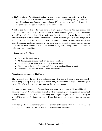<span id="page-15-0"></span>**8. Fix Your Flaws** - We all have flaws that we want to work on. And what better way to do it than with the Law of Attraction? If you are constantly doing something wrong or don't like something about your character, you can change. It's never too late to work on flaws so that you can become the person you have always wanted to be.

**What to do:** All it takes to fix your flaws is a little positive thinking, the right attitude and meditation. First, know that you have what it takes to make the changes in your life. Believe in yourself with all of your heart. Next, shift your focus from the flaw, to the opposite good characteristic you want to obtain. For instance, if your flaw is that you say hurtful things, shift your focus to saying helpful things that make everyone feel good. Meditate while visualizing yourself speaking kindly and helpfully in your daily life. The meditation should be done once or twice daily so that it becomes natural to talk without saying hurtful things. Modify the technique to fix your own personal flaws.

#### **Affirmations to Fix Flaws:**

- I am exactly who I want to be
- My thoughts, actions and words are carefully considered
- I am a good person that strives to do my best in all areas
- I take pride in the person I am and look forward to continued improvement
- I know that I can do whatever it is that I set my mind to

#### **Visualization Technique to Fix Flaws:**

This visualization works best if used in the morning when you first wake up and immediately before going to sleep at night. Lay down in bed and get comfortable to begin. Then close your eyes and breathe in through your nose, and out through your mouth.

Focus on one particular aspect of yourself that you would like to improve. This could literally be anything you want. Now think about a situation when you usually have this problem, but instead visualize yourself without it. Watch how things fall into place as you fix the flaw and really let yourself feel how good it is to overcome it. Know that you are strong enough to overcome any flaw.

Immediately after the visualization, repeat one or more of the above affirmations ten times. This will help your subconscious absorb what you visualized more efficiently.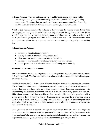<span id="page-16-0"></span>**9. Learn Patience** - They say patience is a virtue and for good reason. If you can wait for something without getting frustrated during the process, you will find that good things surprise you. Everything that you receive will become much more valuable and your days will be much less stressful. Patience is easy to learn if you know what to do.

**What to do:** Patience comes with a change in how you see the waiting period. Rather than focusing only on the light at the end of the tunnel, enjoy the walk through the tunnel itself! When you shift your attention to enjoying the path you are on, it becomes easy to have patience. And when you do reach your goal, it will feel as if the wait wasn't long at all. Chances are that what you experience right now on your journey can be just as rewarding as the goal you are waiting for.

#### **Affirmations for Patience:**

- I am able to be patient in any situation
- It is my pleasure to be understanding and tolerant
- I have complete patience with myself as well as others
- I am able to wait patiently when things take more time than I expect
- I am as patient as a caterpillar in a cocoon transforming into a butterfly

#### **Visualization Technique for Patience:**

This is a technique that can be use practically anywhere patience begins to evade you. It is quick and works very well. The first visualization takes longer, while subsequent visualizations require only a few seconds.

For the first visualization, picture yourself in the situations that you lose patience in. For many this is a long line, when someone is being nasty, or when waiting to get off work. Whatever it is, picture that you are there right now. Then imagine yourself becoming preoccupied with understanding the situation rather than wanting it to be over or allowing yourself to lash out. Think about ways to turn it into a positive or funny situation, like visualizing your boss with a clown nose, or how strong your legs are becoming when you stand for a long time. Find a positive way to let off some of your built up steam. For example, if you are imagining yourself at work, dive into it with a positive attitude, organize your workspace, or come up with ways to make yourself more efficient.

Once you come up with a loophole during your visualization, think of a word that helps you remember to use it during you real life experiences. Put this word in a visible place or even write it on your hand. Whenever you are feeling inpatient at all, look at the word and let it remind you of your visualization. Quickly picture your visualization and gain strength from it.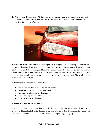<span id="page-17-0"></span>**10. Attract Your Dream Car** - Whether your dream car is a brand new Mustang or a rusty old Camaro, you can attract it with the Law of Attraction. The textbook LOA techniques are perfect for this type of attracting.



What to do: Every time you drive the car you have, imagine that is is already your dream car. Let the feelings of driving your dream car go to work for you. The universe will answer! If you don't have a car at all, try using meditation to visualize yourself owning the car of your dreams. Create a vision board with pictures of the car and include positive affirmations such as "This car is mine." You can also go to the dealership and test drive the car you want. Above all, believe that you will have that car.

#### **Affirmations to Attract Your Dream Car:**

- I am taking the steps to make my dream car mine
- My dream car is getting closer and closer to me
- I can see myself driving my dream car
- I am attracting the vehicle of my dreams
- I deserve to own my dream car

#### **Dream Car Visualization Technique:**

If you already have a car, every time you drive it, imagine that you are already driving in your dream car. Think about all of the features it has and what color it is. Think about how good you feel behind the wheel and how the other drivers must be gawking at its glory.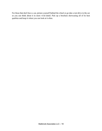For those that don't have a car, picture yourself behind the wheel or go take a test drive in the car so you can think about it in more vivid detail. Pick up a brochure showcasing all of its best qualities and keep it where you can look at it often.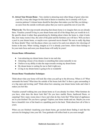<span id="page-19-0"></span>**11. Attract Your Dream Home** - Very similar to attracting most other things of great value into your life, it may take longer for this kind of desire to manifest, but it certainly will if you exercise patience! A dream home should be that place that makes you feel like you belong an oasis from the outside world and a place that you want to spend the rest of your life.

What to do: The first step towards attracting that dream home is to imagine that you are already there. Visualize yourself living in your dream home and all of the things that you would do in it. Be specific about it rather than generalizing by thinking about where the home is, what it looks like, how many rooms it has, the color of the paint and the furniture you will have. Will you have a pool in your dream home, or maybe even a personal movie theater? Be sure to really dig deep for those details! Then visit the places where you want to live and even attend a few showings of homes in the area. When visiting, imagine as if it is already your home. Allow those feelings to be your main focus and soon your dream home will really be yours!

#### **Dream Home Affirmations:**

- I am attracting my dream home closer to me each day
- Attracting a house of my dreams is something that comes naturally to me
- I believe in my ability to take the steps towards owning my dream home
- My dream home is waiting for me to find it right now
- Living in my dream home is going to be so wonderful

#### **Dream Home Visualization Technique:**

Think about what your home will look like when you pull up to the driveway. Where is it? What surrounds the home? What does the outside of the house look like? Is there a gate surrounding it or a big open and inviting yard? Think about how amazing your dream home looks and what it makes you feel like.

Visualize yourself walking into your dream home as if you already live there. What furniture do you have, what does the decor look like? Do you have marble floors, hardwood floors, or carpeting? How many rooms does it have and what do they look like? What kind of appliances are in your kitchen? Do you have a garage? Explore your home inside and out. Maybe you even have a beautiful view of the beach or a sparkling pool in the back. Think about how all of this is yours.

When you are finished visualizing your dream home, get excited about finding it and that the universe for bringing it into your life. Your gratitude will reflect back to you soon enough!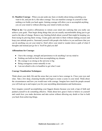<span id="page-20-0"></span>**12. Manifest Courage** - When you put aside any fears or doubts about doing something you want to do, and just do it, this takes courage. You can manifest courage in yourself so that nothing ever holds you back again. Gaining courage will allow you to accomplish anything you set your mind to without allowing your mind to hold you back.

What to do: Use positive affirmations to retrain your mind into realizing that you really can achieve your goals. Then begin doing things that you are usually uncomfortable doing just to get used to the idea of change. Remove any limiting beliefs about yourself that might be keeping you from trying by proving them wrong. Create goals and stick to them without making excuses and keep your attitude positive. Surround yourself with people who believe in you and know that you can do anything you set your mind to. Don't allow your mind to wander down a path of what if thoughts and instead just go for it. You'll be glad you did!

#### **Affirmations for Courage:**

- I have the courage, strength and persistence to do anything I set my mind to
- Nothing can hold me back from accomplishing my dreams
- My courage is as strong as the universe is big
- Being courageous comes naturally to me
- I am not afraid to dive in headfirst to get what I want

#### **Courage Visualization Techniques:**

Think about your daily life and the areas that you want to have courage in. Close your eyes and relax. Take a few deep, cleansing breaths and begin to create a scene in your mind. Think about the circumstances and how you would react with courage. Imagine how much the people around you will look up to and respect you for your unyielding determination and fearlessness.

Now imagine yourself accomplishing your biggest dreams because you took a leap of faith and pushed yourself to do something effective. Think about how great it feels to believe in yourself and watch how you make decisions and take action without allowing any doubt or fear to hold you back from achieving things.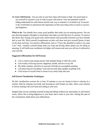<span id="page-21-0"></span>**13. Grow Self-Esteem** - You are only at your best when self-esteem is high. You must learn to see yourself in a positive way in order to grow self-esteem. Your true potential could be hiding underneath low self-esteem and the only way to unleash it is to build it up. Everyone is the world believes and presses the importance of this once thing when it comes to success and happiness.

What to do: You already have many good qualities that make you an amazing person. You are just allowing negative thoughts to cloud them and make you feel like less of a person. To remove this block start writing your good traits, achievements and successful moments you have already had in your life. Write yourself compliments on jobs well done and give yourself plenty of pats on the back each day. Use positive affirmations such as "I have the potential to achieve any goal I set." Also, visualize yourself doing what you want and having others praise you for being so amazing. It will build your confidence for higher self esteem and soon you will see it reflected in your real life.

#### **Suggested Affirmations for Self Esteem:**

- I am a creative and unique person with multiple things to offer the world
- I am worthy of having success, happiness, health, and love in my life
- My skills, mindset, and drive to succeed will help me accomplish anything
- I am deserving of everything I want and am more than capable of getting it all
- I feel secure in myself when it comes to my mind, body and soul

#### **Self Esteem Visualization Techniques:**

Do this visualization exercise for at least 10 minutes as you are laying in bed or relaxing in a recliner. Start by relaxing your body and focusing on each breath you take. Allow your muscles to loosen starting with your head and ending at your toes.

Imagine that you are watching yourself acting and talking without any insecurities or self-esteem issues. Allow this to bring happiness to your heart and a smile to your face. During this part of the visualization, think about your affirmations.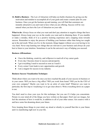<span id="page-22-0"></span>**14. Build a Business** - The Law of Attraction will help you build a business by giving you the motivation and mindset to accomplish all of your goals and create a master plan for your business. Once you get the business up and running, you will find that customers are instantly attracted to you and want to have what you are offering. Success will be very natural when you have the Law of Attraction on your side.

What to do: Always focus on what you want and don't pay attention to negative things that have happened. Always keep your eye on the results you want and in obtaining them. If you stumble or make a mistake, think of it as a positive learning experience and a stepping stone towards success. Remember to enjoy the process of building your business rather than being too caught up in the end result. When you live in the moment, things happen without you even having to try very hard. Never stop learning new things that are relevant to your business and always do your best to listen to your intuition. Sometimes it can be the universe's way of helping you succeed.

#### **Business Affirmations:**

- I have the thinking, creativity, and willpower to reach all of my career goals
- Every day I become closer to success and prosperity
- I get everything I need to succeed as soon as I need it
- Every corner I turn leads to new opportunities and growth
- I am a magnet for success in my industry

#### **Business Success Visualization Technique:**

Think about where you want to be once you have reached the peak of your success in business or in your career. Will you have a big office? Will you work from home? Will you be the CEO of your own company? Maybe you want to be an artist of some kind? Whatever you want in particular, the first step to visualizing it is to get clear about it. Write everything down on a paper to use.

You don't need to close your eyes for this technique, but you can if it helps you concentrate. Picture in your mind all of the things you have written on that paper. Don't just see images, but feel the emotions of how it would be, in addition to all of your other senses. Get creative with it and have some fun dreaming about your future.

Now, keeping those things in your mind, say aloud or silently to yourself that this is your future and it is manifesting right now in your life.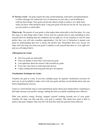<span id="page-23-0"></span>**15. Pursue a Goal** - All goals require the same careful planning, motivation, and determination to follow through, but without the Law of Attraction on your side, it can be difficult to cultivate these things. Your goals can become almost simple to achieve on a daily basis when you know what should be done. Long term goals will also be less far off. Any goal you set your mind to is achievable!

What to do: The pursuit of your goals is what makes them achievable in the first place. So, your first step is to start doing what it takes. Never wait for a perfect time to start something or slow yourself down by thinking that the conditions are not right yet. If you continue to wait for some perfect time, you will miss countless opportunities. Use the Law of Attraction to pursue your goals by understanding that now is always the perfect time. Remember that every excuse you make will only keep you from your goals. Continue to tell yourself that there is a way right now and you will indeed find it.

#### **Affirmations for Goals:**

- All of my goals are achievable
- I have no doubts or fears that I will reach my goals
- I am optimistic about the actions I take towards my goals
- Every day I get closer to achieving total success
- I enjoy setting and achieving goals that give me purpose

#### **Visualization Technique for Goals:**

Visualize one goal at a time. If you have multiple goals, do separate visualization exercises for each one. It can be helpful to make a list of all your goals and then several details about each one before beginning the exercise.

Listen to a motivational song or read inspirational quotes about goal setting before visualizing as this helps increase your positive energy, making the time you spend visualizing more effective.

With your positive energy flowing, imagine yourself working towards one of your goals. Visualize the steps you take and how your goal is reached. This about how great it feels to achieve that goal. Imagine what your life will look like when the goal has been achieved.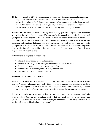<span id="page-24-0"></span>**16. Improve Your Sex Life** - If you are concerned about how things are going in the bedroom, why not use a little Law of Attraction secret to spice up a dull sex life? You would be pleasantly surprised at the difference you can make when it comes to pleasing both you and your partner between the sheets. In fact, you may never want to leave your bed again! Rekindle that spark or start your sex life off with a bang by following this advice.

**What to do:** The more you focus on having mind-blowing, powerfully orgasmic sex, the better you will perform when the time comes. If you are not having enough sex, try visualizing you and your partner having frequent visits to the bedroom or wherever you might want to do the deed. Use all of your senses to imagine how it feels, sounds, and plays with your sensory. Frequently use positive affirmations that agree with how you picture your ideal sex life. Never respond to your partner with frustration, as this could cause more of a problem. Remember that negativity never works. Instead, come to him or her with a positive and generous attitude. They will soon respond without much hesitation.

#### **Affirmations to Improve Your Sex Life:**

- I have all of my sexual needs and desires met
- My sexual partner gives me great pleasure whenever I am in the mood
- I am able to exceed my partners expectations in bed
- When I have sex it is always mind blowing and fantastic
- Every time I have sex it gets better and better

#### **Visualization Technique for Great Sex:**

Visualizing for great sex is extremely fun. It is probably one of the easiest to do! Because everyone's sexual preferences vary widely, it is a good idea to explore your fantasies by watching videos catered to your own carnal pleasures. Visualizing will come easier this way. If you prefer not to watch these kinds of videos, that's okay. Just picture yourself with your partner instead.

It helps to be laying down when doing these types of visualization so that you can completely relax and let go. Once you have visualized exactly what you want from your sex life, talk to your partner about it. Let them share their fantasies with you and then take turns acting them out. Your sex life will never be bland or boring ever again!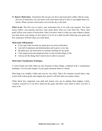<span id="page-25-0"></span>**17. Renew Motivation** - Sometimes life can get you down and motivation suffers. But by using the Law of Attraction, you can renew your motivation and set it free to soar higher than ever before. When you have motivation, not even the sky is the limit.

**What to do:** The first way to renew your motivation has to do with your passion. You must always follow your passion and have clear goals about what you want from life. These clear goals will be your source of motivation. Once you know what it is that you want without a doubt, you must focus your energy on how great it is to be on a path towards achieving your goals and how amazing it will feel when you reach them.

#### **Motivation Affirmations:**

- Every step I take towards my goals gives me more motivation
- I am full of optimism and determination and it grows every day
- My plans give me motivation to continue reaching for my goals
- I feel empowered and energized when I work towards things in life
- I always do the things that I need to do in order to succeed

#### **Motivation Visualization Technique:**

A vision board can really help you stay focused on these things, combined with a visualization technique. Cut out some images of your goals and paste them to a board.

Then hang it in a highly visible spot you see very often. Take a few minutes several times a day to just look at those goals and imagine how good it will feel when you achieve them.

Think about how important your path and actions now are in making them happen. Lastly, visualize yourself as if you have achieved the goals and allow your mind to show you how it came to be.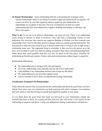<span id="page-26-0"></span>**18. Repair Relationships** - Some relationships fall into a devastating pit of despair solely because both people refuse to see things in a positive light and instead dwell on negative. Of course you know by now that negativity attracts negativity and relationships are undoubtedly no exception to this rule. The Law of Attraction can help you repair relationships that have been shattered by negative thinking and feelings so that they can thrive once again.

**What to do:** If you are in an abusive relationship, you must not stay. There is no relationship worth saving if violence or abuse is involved. Leave and find a relationship worthy of your dedication. For everyone else, remove any negative thinking or feelings you have towards your relationship. Don't wait for the other person to change while you remain guarded and hostile. The first person to make the move must be you. It doesn't matter who is wrong or who is right when a relationship turns sour. The important thing to remember is that you love the person or at the least, care for them in some way. Start by putting yourself in their shoes and understanding them. Think about their good qualities and why you care for them in the first place. Visualize the relationship as blissful and content. Always smile and communicate without anger or negativity.

Relationship Affirmations:

- My relationship grows stronger with each passing day
- All of my relationships come naturally and are full of love and respect
- I feel fulfilled in my relationship and have lots of hope for the future
- My relationship gives me all of the support I need
- I am so fortunate to have such a wonderful and exciting relationship

#### **Visualization Techniques for Relationships:**

Think about the reasons why you entered into the relationship and about the good times you have shared. Now close your eyes and picture you both enjoying each other's company. Use emotions and your senses to feel that feeling of warmth and happiness together in your mind.

As you think about the good times that made you feel good in your relationship, silently tell yourself that more of those are coming and that each new day will reveal a new reason for the relationship to progress and thrive. Using your affirmations during visualizations will help too.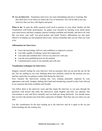<span id="page-27-0"></span>**19. Ace an Interview** - Sometimes interviews can seem intimidating and nerve wracking. But they don't have to be when you utilize the Law of Attraction. You will be able to ace any interview that you face with dignity and grace.

**What to do:** To gain the skills required you'll need to practice in your mind. Studies all link visualization with better performance. So gather your research by learning every detail about your interviewers and their company, practice looking confident and friendly, and above all, look like you know your stuff. Use good posture and smile! Positive affirmations are also quite effective in helping you feel prepared and at ease. Always remember that you are what you want to be.

#### **Affirmations for Interviews:**

- I have the knowledge, skill set, and confidence to impressive anyone
- I am fully capable of making a great first impression
- I am calm and confident that I will ace my interview with ease
- I am the most qualified person for the position
- Communication comes to me naturally and with ease

#### **Visualization techniques for Interviews:**

Imagine yourself waiting for your interview with an assurance that you are just the one for the job. You are smiling as you wait, thinking about how perfectly suited for the position you are, and how much they are going to realize that during the interview.

Now visualize the interviewer coming into view, looking pleasantly surprised by your appearance and smile. Imagine shaking their hand and introducing yourself as they look relieved to see someone that looks confident and friendly.

You follow them to the interview room and they begin the interview as you pass through the questions with answer that make the interviewer smile brightly and look very pleased. The conversation is easy and flows naturally and you both get along flawlessly. You already know that you have the position just from their expression of delight. Then they ask you when you can start.

Use this visualization for the days leading up to the interview and do it again in the car just before heading into the waiting area.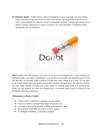<span id="page-28-0"></span>**20. Eliminate Doubt** - Doubt creates a place for negativity to grow and stops you from doing things that could bring you success in many areas of life. Allowing doubt to dwell in your heart is unacceptable for someone trying to accomplish anything. Though experiencing some doubt is natural, allowing it to control your life is not. Gain the ability to eliminate doubts through the Law of Attraction.



What to do: First and foremost, you need to set up an environment that is less conducive to doubting inside your mind. Stop asking if your desires are possible and instead search for the way that they are possible. When a feeling of doubt does arise, letting it go is easy. All you have to do is find reasons that your desires are possible and that will spark hope, the opposite of doubt into your mind. Instead of letting your mind remain in wanting mode, keep it in having mode. When you are grateful for what you already have, it becomes much easier to believe in the possibility of having much more.

#### **Affirmations to Remove Doubt:**

- I believe that I will achieve anything I set my mind to
- I have no doubt in my mind that things will go my way
- I am able to pursue my passions without questioning my path
- My goals are obtainable and failure is not an option
- If I imagine something, I can make it happen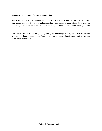#### **Visualization Technique for Doubt Elimination:**

When you feel yourself beginning to doubt and you need a quick boost of confidence and faith, find a quiet spot to rest your eyes and practice this visualization exercise. Think about whatever it is that you feel doubt about and make it happen in your mind. Watch it unfold just as you want it to.

You can also visualize yourself pursuing your goals and being extremely successful all because you have no doubt in your minds. You think confidently, act confidently, and receive what you want, when you want it.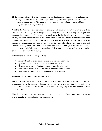<span id="page-30-0"></span>**21. Encourage Others** - For the people in your life that have insecurities, doubts, and negative feelings, you can be their beacon of light. Your own positive energy will serve as a massive encouragement to others. You alone can help change the way others see the world and enlighten them to a brighter future.

**What to do:** Always be sincere when you encourage others in any way. You want to help them see that life is full of positive things without trying to sugar coat anything. When you see someone do something good, no matter how small it may be, let them know how their actions are creating powerful change in their lives. For instance, if you see a friend frustratingly searching through job listings to find work, tell them how wonderful it is that they are taking steps to become independent and how cool it will be when they can afford their own place. If you find someone looking rather sad, send them a smile and point out how great the weather is today. Anything that might help turn them towards the bright side rather than wallowing in negative emotions is a great way to encourage.

#### **Affirmations to Help Encourage Others:**

- I am easily able to cheer people up and help them see positively
- I possess and natural energy that helps others feel better
- My thoughts, words, and actions encourage people to keep going
- I will always be able to make my friends and family find courage
- My courageous attitude spreads quickly to those around me

#### **Visualization Technique to Encourage Others:**

This is a kind of visualization that you do when you have a specific person that you want to encourage. Picture them suddenly looking less unhappy when you walk into the room. Imagine that you find the perfect words that make them realize that anything is possible and that there is nothing to fear.

Visualize them accepting your encouragement with an open mind. Watch as they tackle whatever was holding them back and achieving great success.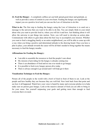<span id="page-31-0"></span>**22. Feed the Hungry** - A completely selfless act can both spread good cheer and gratitude, as well as provide a sense of content in your own heart. Feeding the hungry can significantly impact you on a positive level and you can use the Law of Attraction to do this.

What to do: The first step to feeding the hungry using the Law of Attraction is to send out a message to the universe that you want to be able to do this. You can simply think in your mind about who you want to provide food to, where you will do it and how. Just thinking about it will allow the universe to put things into motion. Next, you will need to develop an action plan. Communicate with others to gain ideas about the best way to accomplish your mission. Whether you want to feed a struggling family or an entire neighborhood, you will be able to come up with a way when you bring a positive and determined attitude to the drawing board. Once you have a plan in place, your attitude towards the cause will be all that's needed to bring together the means necessary to feed the hungry mouths.

#### **Affirmations for Feeding the Hungry:**

- I am able to assemble the resources to feed the people I care about
- My mission of providing for the hungry is already coming true
- There is an abundance of food and no one ever needs to go hungry
- It is possible to feed every hungry person alive today
- There is always enough to go around and I will help get it there

#### **Visualization Technique to Feed the Hungry:**

Picture all of the people in the world with a bowl of food in front of them to eat. Look at the people and how healthy they are because they are well-fed. Now look back from that point and see how it all happened. Watch how your voice is heard by many and everyone pitches in to help make sure no person goes hungry. Look at the massive amount of food you are able to bring in for your cause. See yourself surpassing your goals and getting more than enough to feed everyone that is in need.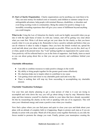<span id="page-32-0"></span>**23. Start a Charity Organization** - Charity organizations can be anything you want them to be. They can raise money for medical costs or research, send children to summer camps for an unforgettable adventure, help people with terminal illnesses, disabilities, or disorders and even bring exciting events to communities. Being the catalyst for positive change is an incredibly rewarding experience that will give you a sense of fulfillment beyond anything you could imagine.

What to do: Using the Law of Attraction for charity work can be highly successful when you go into it with the right frame of mind. As with any venture, start off by getting very clear about what you want first. Write it all down and get out your ideas for the charity so that you know exactly what it is you are going to do. Remember to have a positive attitude and believe that you can do whatever it takes to make it happen. Once you have the details worked out, spread the word and talk about your ideas with as many people as possible. When you do this, don't say if or when, speak in the present tense. Say "I am" putting together an organization for a great cause. Your positivity will be reflected back to you in the form of supporters. And finally, learn as much as you can about going about this so that you can put sincerity and confidence behind your words.

#### **Charitable Affirmations:**

- I am able to combine resources to make positive changes in the world
- My ability to bring people together for the greater good comes effortlessly
- My charisma helps me to inspire others to contribute to my cause
- I am getting closer and closer to my charitable goals each and every day
- There is nothing that will stop my from succeeding in accomplishing my charitable mission

#### **Charitable Visualization Technique:**

Use your lists and charity planning to get a clear picture of what is it your are trying to accomplish and write down the way you will go about doing it step by step. Memorize those steps and then immerse yourself in charities similar to your ideas that have already succeeded. Do this by researching the charity on the web or speaking with one of its organizers. This will raise your vibrational energy and create a positive tone when you visualize.

Now find a place where you can find peace and quiet to close your eyes and think about your plans with an attitude of complete faith in it happening. Begin to picture each step as if you are already in action with your plan. Watch all of the pieces come together flawlessly as you rally the forces needed to promote the change you want. Finally, picture your masterpiece creating the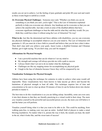results you set out to achieve. Let the feeling of pure gratitude and pride fill your soul and watch as these events begin to unfold as a result.

<span id="page-33-0"></span>**24. Overcome Physical Challenges** - Someone once said, "Whether you think you can do something or you think you can't, you're right." This is the Law of Attraction explained perfectly to help you overcome any obstacle. Any handicap can be overcome so that you can achieve the unachievable. Just take a look at some of the disabled athletes that have overcome significant challenges to beat the odds and do what they said they would. Do you think they could have done it without using the Law of Attraction? No way!

**What to do:** Just like the determined and fierce athletes with disabilities, you too can overcome any physical challenge to accomplish whatever you set your mind to. The Law of Attraction will guarantee it. All you must do is have faith in yourself and believe that you do have what it takes. Then don't stop until you achieve your goals. Jason Lester, a disabled Ironman and Ultraman finisher, got it right saying, "If you don't stop, you can't be stopped."

#### **Affirmations for Physical Strength:**

- I am a powerful machine that can do whatever I set my mind to
- My strength and courage will always provide me with a path to success
- I always finish what I set out to do no matter what the challenges
- Challenges are like my stepping stones for accomplishing my physical goals
- I laugh in the face of obstacles because I know they will be conquered by me

#### **Visualization Techniques for Physical Strength:**

Athletes have been using this technique for centuries in order to achieve what some would call impossible. These visualizations have been known to help anyone go above and beyond the limitations of physical strength to beat all odds. This technique requires lots of time and concentration so be sure to clear up about 30 minutes of time (it can be broken down into shorter periods) to master it.

The best time to do this visualization is as you are falling asleep. Incredibly, some can even carry it into their dreams to that they are literally practicing in a virtual world in their sleep. The more you visualize yourself as the powerful and successful person you are, the more you will believe it and the better you will perform.

Visualize yourself doing what it is that you want to be able to do. This could be anything, from walking pain-free, to making your way past an entire football field of players to make a mind blowing touchdown. No matter what it is, picture the way it feels, the sounds you hear, the smell in the air, what it looks like, and the sweet taste of success!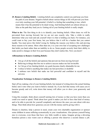<span id="page-34-0"></span>**25. Remove Limiting Beliefs** - Limiting beliefs can completely control you and keep you from the path of your dreams. Negative beliefs about various things in life will prevent you from ever truly reaching your full potential. A belief is a feeling that something is true, which means that it has the potential to be dead wrong. And limiting beliefs are almost always as false as the path they lead you in. Getting rid of your limiting beliefs is really simple.

What to do: The first thing to do is to identify your limiting beliefs. Often times we will be prevented from moving forward, but we are not sure exactly why. Take a while to really determine what you want and ask yourself what it is that is holding you back. For instance, you could want to buy your first home, but you believe that it will be a burden that you cannot handle. You must prove this belief wrong by finding the reasons you believe this and proving those reasons to be untrue. More often than not, it is your own fear of accepting new challenges that holds you back rather than an inability to do so. Some people severely limit their ability to make positive changes in their lives just because they don't realize this. Now you know!

#### **Affirmations to Remove Limiting Beliefs:**

- I let go of all the beliefs and opinions that prevent me from moving forward
- Believing in things that free me to achieve success makes me feel invincible
- As I let go of my limiting beliefs, my goals become clearly obtainable for me
- I refuse to believe anything that makes me feel powerless or doubtful
- I embrace new beliefs that make me feel powerful and confident in myself and the universe

#### **Visualization Technique to Remove Limiting Beliefs:**

Start off my making a list of your limiting beliefs, but instead of writing down the actual limiting belief, turn it into what you want to believe instead. So, if you feel that money will cause you to become greedy and evil, write down that money will allow you to show your generosity and kindness.

Using this example, think about yourself earning lots of money so that you have more than you could ever need or spend. Think about how good it makes you feel to have that kind of money and to be able to provide for yourself completely and shower the ones you care about with nice things. Then think about how generous you are with the money and be giving with it.

Donate to charities, help a person in need, create your own charitable organization or sponsor some children in areas suffering economically in your visualizations. Also picture yourself being nice to everyone, even those that have very little wealth or status. Imagine giving a shivering homeless person a nice warm coat or offering a person who deserves a second chance a job.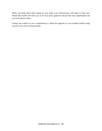When you think about these things in your mind, your subconscious will begin to form new beliefs that wealth will allow you to be even more generous and provide more opportunities for you to be kind to others.

Change the content of your visualizations to match the opposite of your limiting beliefs using your own list of new freeing beliefs.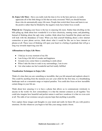**26. Enjoy Life More** - Have you really took the time to live in the here and now, to really appreciate all of the little things in life that are truly awesome? Well you should because those who do automatically enjoy life more. People that switch their focus and learn to see the positive rather than be blinded by the negative truly have better lives overall.

**What do to:** Changing your focus is the key to enjoying life more. Rather than dwelling on the bills piling up, think about how wonderful it is to have electricity, running water, and plumbing. Instead of thinking about the ugly rainy weather, think about how beautiful the plants and trees will look with the abundance of water. When you find yourself thinking about a slow internet connection or poor phone service, think about what it would be like not to have internet or phones at all. These ways of thinking will open your heart to a feeling of gratitude that will go a long way towards improving your life.

## **Affirmations to Enjoy Life More:**

- I find joy in every moment of my life
- I am living a life full of wonder and happiness
- Around every corner there is something to smile about
- When I take the time to soak in my surroundings, I am in awe
- I do what makes me feel wonderful and feel totally fulfilled

## **Visualization Techniques to Enjoy Life:**

Think of a time that you saw something so incredible, that you felt amazed and euphoric about it. This could be anything from the moment you saw your child for the first time, to a breathtaking landscape such as a mountain range or tropical paradise. You could also focus on how incredible certain things in your life are.

Think about how amazing it is to have a phone that allows us to communicate wirelessly to anyone in the world. Or, how extraordinary it is that the internet connects us all together. You could also imagine how beautiful and perfect nature is and how wondrous it is that we even exist at all. The odds of our existence can give anyone hope that anything is possible.

Now capture those images and thoughts in your mind and really let them fill you with positive emotions. Do this whenever you begin to feel like your energy needs a boost.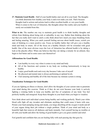**27. Maintain Good Health** - Half of your health battles start out all in your head. The thoughts you think determine how healthy your body is and even make you sick. That's because thoughts lead to actions and actions lead to either excellent health, or very poor health. When it comes to the Law of Attraction, like thoughts attract like reality and your health is surely not excluded from this.

What to do: The number one way to maintain good health is to think healthy thoughts and refrain from thinking about being sick or unhealthy in any way. Rather than thinking about the fact that you really don't want to catch a cold, think about how much you enjoy breathing freely and feeling amazing. When you catch yourself feeling nervous about health issues, switch you state of thinking to a more positive one. Focus on healthy habits that will give you a healthy mind and body in return. All of the focus on a healthy lifestyle will be rewarded with good health. One of the most obvious ways the Law of Attraction has affected health is by taking a look at the placebo effect. When one believes that they are taking a remedy for an ailment, they begin to feel better and in some cases cure themselves!

# **Affirmations for Good Health:**

- I am healthy in every way when it comes to my mind and body
- All of the functions and systems in my body are working harmoniously to keep me healthy
- I enjoy good health each and every day because I take care of myself
- My physical and mental state is always performing at optimal levels.
- I feel amazing and healthy all of the time because my immune system is strong

# **Visualization Techniques for Good Health:**

If you are fighting an illness or disease, don't allow the thoughts of your current state to penetrate your mind during this exercise. Think as if they do not exist because your body is actively fighting a winning battle to keep you healthy and free of symptoms of any kind. You feel perfectly healthy and energized. Keep these thoughts in your head when you begin to visualize.

Now think about each individual system being healthy and working perfectly. Watch your white blood cells fight off any invaders and eliminate anything that could cause it harm with ease. Picture your heart pumping strong and steady, you lungs absorbing all the oxygen it needs and all of your organs doing their job without a single problem. Think of your mind and body as a beautiful light that removes all darkness and heals instantly. Feel yourself having no troubles at all with your health and allow the feeling of good health to give you great comfort and relief.

Feel grateful and confident that you are healing fully with each passing day that goes by.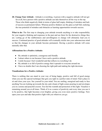**28. Change Your Attitude** - Attitude is everything. A person with a negative attitude will not get far at all, but a person with a positive attitude can take themselves all the way to the top. Those who think negatively think in terms of glass half empty, thinking of mistakes and lack of success as permanent failure. Whereas positive thinkers see the glass as half full, realizing the true potential of mistakes and obstacles as learning opportunities towards success.

What to do: The first step to changing your attitude towards anything is to take responsibility for your negative thinking and responses in the past and see them for the destructive things they are. Letting go of the stubbornness and unwillingness to change will ultimately lead you to success. Continued practice of good attitudes will eventually trickle into your subconscious mind so that the changes in your attitude become permanent. Having a positive attitude will come naturally after that.

#### **Affirmations for a Positive Attitude:**

- My attitude is optimistic, courageous and friendly
- I attract others to me because I have such a positive attitude
- I smile because I feel wonderful and that reflects in everything I do
- My attitude is so full of positive energy that it spreads to everyone around me
- I have no doubts that I am choosing the right path and making the right decisions

## **Visualizations for a Positive Attitude:**

There is nothing that can stand in your way of being happy, positive and full of good energy when you use this special technique that gets you right in a perfect state of mind. Find a place to sit and close your eyes. See yourself in your mind. You are smiling, energized and ready to face anything You are looking up towards the sky and a beam of light comes pouring in and envelopes you in a serene and peaceful cocoon. You feel the warmth and protection of this light. Visualize it remaining around you at all times. Think of it as a source of positivity and every time you use it to be positive, that light becomes even brighter, giving you even more positive feelings. Now open your eyes and take that positive light with you wherever you go.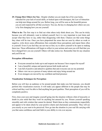**29. Change How Others See You** - Despite whether you are made fun of for your looks, ridiculed for your lack of social skills, or looked upon with disrespect, the Law of Attraction can help turn things around for you. Before long, you will be seen as the beautiful person you are and respected by all that you know. You see, the key to changing how others see you is by first changing how you see yourself.

**What to do:** The first step is to find out what others truly think about you. This can be tricky because you will ultimately want to defend yourself, but it is very important to just listen and accept what they have to say, rather than disagreeing with them. Chances are that some things they share will be true. Once you have pinpointed the areas that are seen by others as weak or negative, write down some affirmations that contradict those perceptions and repeat them often to yourself. Even if you feel they are not true at first, try to allow yourself to be open to making them true. Those affirmations will begin to reflect in your actions and soon you will find that you have changed how you see yourself. Others will take notice too. Remember that for any situation and you'll be set.

## **Perception Affirmations:**

- Everyone around me looks up to and respects me because I have respect for myself
- I am a beautiful, unique and special person both inside and out
- I am full of positive and attractive qualities that and everyone can see my potential
- Others view me as a person of many talents and enjoy being around me
- Even strangers are moved by my confident and kind presence

## **Visualization Techniques for Perception:**

Before you will face an audience or be around people that make you feel insecure, you should perform this visualization exercise. It will make you appear different to the people that may be critical and they won't be able to find anything but good qualities. Their perception of you will be completely positive.

First, close your eyes and imagine yourself going into the situation without a hint of insecurity or doubt in your mind that they won't be anything but amazed by you. Picture yourself speaking smoothly and with wisdom that cannot be denied. Watch them as they communicate respectfully and appear to be taken aback by your positive charm and charismatic personality. They will see you exactly as you want to be perceived. Now go into the situation in your real life carrying with you that same confidence and total faith in your ability to win over anyone.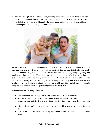**30. Build a Loving Family** - Family is very, very important. Some would say that it is the single most important thing there is. That's why building a loving family is at the top of so many to-do lists when it comes to life goals. But going about building that family doesn't have to seem impossible. In fact, all you need is love!



What to do: Always be kind and understanding first and foremost. A loving family is built on showing your love to each other beyond just words. Really take the time to listen to your family members and what they like and do not like. Show them you care by doing things they enjoy and sharing your time generously. Keep the lines of communication open by having regular times for one-on-one talks. Mealtimes are a great way to reconnect daily. Create special nights to do things together as a family such as watching a movie every Friday or going to the park on the weekends. Be sure that the entire family enjoys your weekly activities. Include everyone equally and your love for each other will grow stronger each and every day.

## **Affirmations for a Loving Family Life:**

- I have the most fun, loving, close family and they make me feel complete
- When I am with my family I feel only an incredible joy and love for them
- I take the time and effort to give my family the love they deserve and they reciprocate this
- My family enjoys building new memories together which strengthen our love for each other
- I am so lucky to have the most caring and loving family members anyone could ever want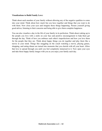#### **Visualizations to Build Family Love:**

Think about each member of your family without allowing any of the negative qualities to come into your mind. Think about how much fun you have together and things that you want to do with them. Now close your eyes and imagine those things happening. Picture yourself giving good advice, listening to their concerns and being able to give them complete happiness.

You can also visualize a day in the life of your family in its perfection. Think about waking up to the people you love with a smile on your face and positive encouragement to help them get through the day. Think of how you embrace each other's imperfections and how you love them for the people that they are. Think about happy things you do together and play them like a movie in your mind. Things like snuggling on the couch watching a movie, playing games, shopping, and eating dinner are turned into moments that you cherish with all your heart. Allow that love to spread through you until you feel completely immersed in it. Now open your eyes and take those happy family images with you as you enjoy your family each day.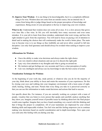**31. Improve Your Wisdom** - It is one thing to be knowledgeable, but it is a completely different thing to be wise. Wisdom does not come from an outside source, but an internal one. It comes from being able to judge things based on the proper perception of knowledge and experiences. Being aware of your perception is the key to improving your own wisdom.

What to do: Understand that wisdom does not come all at once. It is a slow process that grows over time like a fine wine. In life you will inevitably have many successes and even some mistakes. It is your job to learn from those mistakes, understand what went wrong, and have the right mindset to grow from the experience. You will need to focus on paying a lot of attention to detail and in making the choices that will continuously make the world a better place. The main way to become wise is to see things as they truthfully are and never allow yourself to fall into deception. Lies only feed ignorance and should always be avoided when seeking to improve your wisdom.

## **Affirmations for Wisdom:**

- I have the ability to make wise decisions and always make the right choice
- I am very intuitive about situations and can use it to discern the right path
- I pay very close attention to my thoughts and what is going on around me
- My instincts and gut feelings are very accurate and I have a clear perception of reality
- I am very intelligent and always use my knowledge to take the best course of action

## **Visualization Technique for Wisdom:**

At the beginning of your work day, study period, or whatever else you do for the majority of your day, think about your ability to focus and retain the memories of your experiences. Do this by closing your eyes and walking into your imaginary environment with a keen sense of sight, smell, hearing, feeling, and taste. Picture that every thing you take in is perceived correctly so that you can use this information to make sound decisions and actions that lead to success.

Get specific about this. For instance, if you are currently working on a project with a team of people, visualize that you listen to every person that speaks and carefully analyze anything that they show you. Imagine yourself aware of possible issues by thinking about how the final project would come together. Imagine that you have found something very crucial with this thinking and that it brings the project to completion. All of your teammates are impressed by your critical thinking skills and impeccable wisdom. You feel wise and this feeling empowers you to continue making wise decisions based on careful consideration and in depth knowledge. Now open your eyes and carry this feeling with you during your day.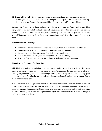**32. Learn a New Skill** - Have you ever wanted to learn something new, but decided against it because you thought to yourself that it was not possible for you? This is the kind of thinking that prevents you from adding to your skills and making yourself into something more.

What to do: Stop allowing doubt and negative thinking to prevent you from learning something new, embrace the new skill without a second thought and enjoy the learning process instead. Rather than believing that you are incapable of learning a new skill or that you will embarrass yourself in the process, just think about how accomplished you'll feel when you finally do get it right.

# **Affirmations for Learning:**

- Whenever I need to remember something, it naturally saves in my mind for future use
- I immediately pick up on new concepts and develop skills quickly
- I am an incredibly fast learner and find thrill in new challenges
- I always complete all assignments and projects related to learning
- Tests and Assignments are easy for me because I always know the answers

# **Visualization Technique for Learning:**

This kind of visualization technique involves constant daily use so that it is absorbed by your subconscious and becomes part of your belief system. First, get into the right kind of vibration by reading inspirational quotes about knowledge, learning and having skills. This will help your mind switch over from having any negative feelings towards the learning process to one that is ready and willing to learn.

Now close your eyes and picture yourself in a learning environment. You are able to answer all of the questions your instructor asks and you find yourself feeling more and more knowledgeable about the subject. You are easily able to prove what you learned by doing well on tests and using the skills perfectly. Allow that feeling to make fill you with confidence and motivation for your real life learning experiences.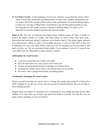**33. Get Better Grades** - At the beginning of every new semester, we go back into classes with a sense of motivation, dedication and determination to study hard, complete assignments and ace exams. But by the second or third week in, that combination of powerful feelings begins to fade away, leaving us falling below our potential to get the best grades possible. If you have big plans for life, grades can play a big part in making things a lot easier so it's important to keep this mindset long after the semester begins.

**What to do:** The Law of Attraction has helped many students across all types of studies to achieve the grades worthy of a trophy. The main reason we tend to stray away from such a determined and motivated attitude is because we let doubt creep in. This doubt begins eating at your subconscious, telling you that it isn't possible anyways, so why try? DO NOT let this way of thinking even cross your mind. Believe that you CAN do anything you set your mind to and don't ever give up. You are guaranteed better grades if you continue to put all of yourself into your studies and use affirmations to keep a positive mindset.

## **Affirmations for Good Grades:**

- I can easily understand all of what I am taught
- My tests and exams are a way to prove how smart I am
- I always get good grades because I remember everything I learn
- Learning new things comes easily to me and this shows in my grades
- My brain is like a sponge that absorbs everything quickly

## **Visualization Technique for Good Grades:**

Picture yourself receiving your report card or viewing your grades and seeing all of them all at 100%. Straight A's are all you can see. You feel proud of yourself and know that you are able to learn anything quickly.

Imagine that your teachers or instructors are so impressed by your grades that they tell the other students to be more like you. It fuels your pride and belief in yourself. You feel like you can easily achieve anything you set your mind to.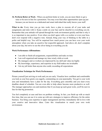**34. Perform Better at Work** - When you perform better at work, you are more likely to get a raise or be next in line for a promotion. You may even find other opportunities open up just because you are known as a dedicated and smart individual that really knows your stuff.

What to do: Every time you go into work, have a plan to execute all of your tasks and assignments and stick with it. Keep a smile on your face and be cheerful in everything you do. Remember that your attitude will spread through the work environment quickly and that is why it is so important to stay positive. Even when you don't agree with a co-worker or even your boss, don't ever respond with a negative tone. Instead, bring your way of thinking to the table in a polite and helpful way. You will be surprised how much power you can have over your work atmosphere when you take an assertive but respectful approach. And above all, don't complain about your day, but strive to see the silver lining in everything you do.

#### **Work Performance Affirmations:**

- I am able to finish all assignments, responsibilities and tasks on time
- I am well organized and manage my time wisely while at work
- My managers and co-workers are impressed by my skill and value me highly
- My knowledge, experience, and expertise in my field makes me invaluable
- I do my job better than anyone else could, exceeding all expectations

## **Visualization Technique for Work Performance:**

Picture yourself just arriving at work and you are early. Visualize how confident and comfortable you look as your boss greets you eagerly, commenting on your punctuality. You get to your work area and immediately have a plan for the day. Everything goes smoothly and you meet every deadline ahead of schedule. You are even able to help others become more productive as well. The manager approaches you and mentions that if you keep up such great work, you'll be next in line for that big promotion.

You feel completely at ease and have no problem working. In fact, you finish up with so much free time, that you can use it to come up with new strategies to improve efficiency for the entire business. You bring your expertise to upper management and they immediately fall in love with your creative and innovative ideas. Cater this visualization to match your own work environment.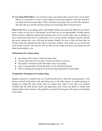**35. Get Along With Others** - It's not always easy to get along with everyone, but it can be done! Believe it or not there is a way to avoid conflict in nearly any situation. It all starts with how you think and feel towards others. There will always be people who you don't like and those that don't like you, but that should not keep you from being able to keep the peace.

What to do: Have an accepting, polite, and humble attitude and respect the differences of others. Keep a smile on your face so that people can tell that you are an approachable, friendly person. When you have a different opinion than someone else, even if you are right, agree to disagree or have a discussion about how to compromise if it is a serious matter. Keeping a positive attitude and never raising your voice will keep the debate friendly. Be sure to help out those that are having a hard time and don't be the source of anyone's troubles. Treat others as you would want to be treated yourself. The universe will see that you are doing your part to get along and will attract good people to you.

## **Affirmations for Getting Along:**

- I get along with everyone I meet no matter what
- I always treat others the way that I would want others to treat me
- The people I surround myself with make it easy to get along
- I have a special ability to keep the peace even in stressful situations
- There is nothing preventing me from always behaving kindly towards others

## **Visualization Techniques for Getting Along:**

Imagine yourself in a situation that you would normally have a hard time getting along in. Now picture yourself using kind words and being nice to the other person, or simply agreeing to disagree by telling the other person that you respect their right to have their own opinion. Visualize that the other person smiles and appreciates your words and ability to remain kind despite whatever the situation is. Be grateful to yourself for having the self-control and discipline to get along.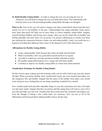**36. Build Healthy Eating Habits** - In order to change the way you eat using the Law of Attraction, you will need to change the way you think about food. Your relationship with food has more to do with developing healthy eating habits through your thoughts.

What to do: First of all, you will need to change your deep rooted beliefs about food that have caused you not to eat healthily in the past. Understanding that eating unhealthy foods causes more harm than good will help you be more likely to choose healthier eating habits. Imagine yourself feeling healthier and having more energy when you eat the foods that are healthy and feeling unhealthy and tired when you eat poorly. Use positive affirmations to retrain your brain into realizing the connection between a better you and eating healthy. Lastly, you could turn to a hypnosis recording that addresses these issues on the deepest levels of the subconscious.

## **Affirmations for Healthy Eating Habits:**

- I enjoy eating healthy foods because they make me think and feel better
- When I eat healthy I feel very good about myself and have no regrets
- I am able to control my cravings and choose healthy alternatives easily
- My healthy eating habits help me live a longer life with better health
- I continue to improve my healthy eating habits as I learn more about nutrition

## **Visualization Technique for Healthy Eating Habits:**

Do this exercise upon waking up in the morning while you are still in bed to get your day started off right. When you picture healthy food, visualize that it goes into your stomach and makes you feel energized, full, and healthy. Imagine that the tastes of the healthy food makes your mouth water and gives you a feeling that you are doing something wonderful for yourself.

Now visualize junk food and other unhealthy things in your diet and picture how they will make you feel nasty inside. Imagine that they are poison and that eating them will remove years off of your life and make you feel sick. Visualize that these foods taste like chemicals and disgust you. Even the thought of taking a bite would make you nauseous. Now use one or all of the affirmations and feel good about making healthy choices all day long.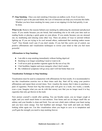**37. Stop Smoking** - Once you start smoking it becomes an endless cycle. Even if you have wanted to quit in the past and failed, the Law of Attraction can help you overcome this habit. Whether you have been smoking for many years or are nipping it in the bud quickly, it can be done.

What to do: Remove the reasons behind your smoking by addressing the emotional and physical issues. If you smoke because you are bored, find something else to do with your time such as reading books or playing a quick game on your phone. If you smoke because you are stressed out, try meditating and relaxing some other way. There are plenty of ways to unwind without lighting up. If you are trying to be cool around others, understand that smoking makes noone "cool". True friends won't care if you don't smoke. If you feel like you're out of control, use positive affirmations and visualization techniques to rewire your mind so that you feel more powerful.

## **Affirmations to Stop Smoking:**

- I am able to stop smoking immediately without feeling deprived
- Smoking is no longer something I need or want to do
- I will never pick up another cigarette again for the rest of my life
- I feel healthier, happier and more energetic when I don't smoke
- My withdrawal symptoms will go away and I will feel better than ever

## **Visualization Technique to Stop Smoking:**

Visualization must be used in conjunction with affirmations for best results. It is recommended to use this visualization exercise two or three times each day. Start off by using your positive affirmations and repeat them several times. Now visualize the money that it takes to purchase a pack of cigarettes. Picture how big that money pile will grow in a week, two weeks, a month, even a year. Imagine what you can do with that money now that you no longer need it to buy cigarettes that only get thrown in the trash.

Now picture yourself a month after quitting. You can breathe easier, you no longer cough at night, and you smell much better to non-smokers. Your home and car no longer smell like an ashtray and your breathe is clean and fresh. You can now climb stairs without your heart racing and you have more energy. You feel healthier and stronger. Your teeth and nails are finally looking white again too. Use this visualization when you begin to cave in to temptation and you'll gain the strength you need to stop smoking forever.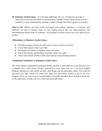**38. Eliminate Alcohol Abuse** - As with other addictions, the Law of Attraction provides a powerful way to use your mind to overcome them. Though Alcohol abuse can be a severe problem, it can be eliminated by wanting to make a change and believing that you can do it.

What to do: Address the same issues associated with quitting cigarettes to overcome your addiction. Be sure to include others in your healing process that can bring positivity and encouragement during times of weakness. AA meetings or online forums are a very good way to do this.

## **Affirmations to Eliminate Alcohol Abuse:**

- Alcohol no longer controls me and I do not want or need it in my life
- I am a better person when I am sober
- My friends and family are happier when I am sober
- Life is full of hope and anything is possible when I am sober
- I have total control of what I drink and I choose to stop drinking alcohol

#### **Visualization Techniques to Eliminate Alcohol Abuse:**

The most common visualization technique and the one that is most effective is one that gives you a glimpse into a sober future. Picture yourself five years from now as if you have stopped drinking starting now and turned towards other things you are passionate about. You could be anywhere you want within five years time when you don't allow alcohol to get in the way. Imagine where you want to me in as much detail as possible and allow those feelings to keep you on the right track towards your new, sober and successful future.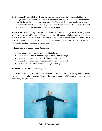**39. Overcome Drug Addiction** - Drugs are the most serious of all the addictions but there is always hope when you have the Law of Attraction on your side. It's very important to know how life threatening and dangerous drugs can be. If you use drugs on a regular basis, you should take the time to do something good for yourself and overcome the addiction. You will wonder why you ever started using them in the first place.

**What to do:** The first step is to go to a rehabilitation center and get help for the physical withdrawal symptoms if necessary. Enter the program with an open mind and positive attitude so that you can get the most out of it. Use daily meditation, visualization techniques and positive affirmations during your recovery and continue to do so once you are finished. Also use the same methods for quitting smoking and alcohol abuse.

## **Affirmations to Overcome Drug Addiction:**

- I no longer want or need drugs in my life to be happy
- I am happier, healthier, and more myself when I don't do drugs
- Now that I don't do drugs I will live longer and feel better
- Being clean is an incredibly free feeling that I enjoy immensely
- I now have inner peace because I no longer use drugs

## **Visualization Technique to be Drug Free**

Use a combination approach to this visualization. Use the one to quit smoking and the one to overcome alcohol abuse together. Replace the cigarettes and alcohol parts with visualizations about being drug-free instead.

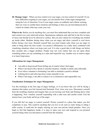**40. Manage Anger** - When you lose control over your anger, you lose control of yourself. If you have difficulties reigning in your anger, you can benefit from a little anger management using the Law of Attraction. Even if your anger comes on suddenly and without warning, there are ways to combat these emotions and feelings so that you can feel balanced and in control no matter what may come your way.

What to do: Before you do anything else, you must first understand that you have complete and total control over your mind and actions. Spontaneous outbursts only add fuel to the fire in times of stress and should never be allowed to surface. But you also cannot let everything stay bottled up inside either. Meditate during times when you are angry and allow yourself to cool down before facing a hot issue. Remind yourself that you must remain calm when you are angry in order to bring about the best results. Use positive affirmations on a daily basis combined with visualizing situations where you keep your cool. It is also a good idea to talk things out before they escalate into a bigger problem. People may not even realize that you are upset about something unless you say something in a calm and respectful way. Another way to remove anger is to learn forgiveness.

## **Affirmations for Anger Management:**

- I am able to keep myself from feeling out of control when I feel angry
- When I am faced with a threat or stressful situation, I handle it calmly and collectedly
- Even when a situation is frustrating I am able to maintain a positive attitude
- Calming down and relieving stress comes naturally to me
- When I feel angry, I am able to release it in a constructive and responsible way

## **Visualization Techniques for Anger Management:**

Use this technique at the first sign of angry feelings, or if you know that you will be facing a situation that makes you feel stressed and frustrated. First, close your eyes. Disconnect yourself from the troubling situation and imagine that you are leaving your body and floating above what is happening. Now visualize yourself responding with a calm tone and careful words. Feel the tension leave your body and let go of the anger.

If you still feel too angry to control yourself. Picture yourself in a place that makes you feel completely at ease. This could be anything that you love to do such as water skiing or riding a roller coaster. It could also be simply relaxing on your own private island paradise. Once you begin to feel that happiness inside, it is okay to open your eyes and respond as you pictured yourself doing when you disconnect yourself from the situation.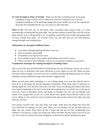**41. Gain Strength in Times of Trouble** - When you feel like everything seems to be going completely wrong, it doesn't have to affect your mood in a traumatic way. Everyone experiences problems in life and things happen that cause trouble, but it isn't the experiences that make life miserable but the way you choose to deal with them.

What to do: The best way to feel better when everything starts going wrong is to start remembering everything that has gone right. You can also reassure yourself that your life will get better and the way it will get better is by you pulling yourself from the trouble and getting back on track towards your goals - no excuses! Never say you can't and you will find immense strength through your troubled times.

## **Affirmations for Strength in Difficult Times:**

- I can make it through anything life throws my way
- There is nothing I can't handle
- No problem is too big for me to solve
- Every mistake I make is just another speed bump on the road to success
- When I am faced with a difficulty, I always use my positive attitude to overcome it

# **Visualization Technique for Gaining Strength in Troubling Times:**

This is one of the most powerful kinds of visualizations you can do because it gives you a way to make the Law of Attraction work more effectively in every aspect of your life. When you gain this kind of inner strength, you won't ever have a problem manifesting things because you will be radiating a strong vibrational energy with a positive magnetic pull.

When you feel down about something or a lot of things going on in your life, take the time to clear up 15 or 20 minutes for this life-changing visualization. Think about what it is that has you feeling negatively. Now lay down and relax your body. Focus on releasing the tension from all of your muscles beginning at the top of your head and working your way all the way to the tips of your toes. Focus on breathing slowly and deeply, in through your nose and out through your mouth. Now imagine that you are on a warm beach with a gentle breeze and the sound of soft waves rolling in. You smell the scent of tropical fruit and coconut and feel the silky soft sand between your toes.

Now picture yourself with a pen and sticky note paper. Write down the things that come into your mind that are making you feel weak. When you are finished, roll up the little pieces of paper into tiny scrolls. Place them all into a bottle and seal the lid shut, symbolizing your readiness to let them go. Using your strong arm, throw the bottle into the ocean as far out as you can. Now watch as it slowly but surely disappears on the horizon and the problems are gone.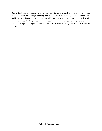Just as the bottle of problems vanishes, you begin to feel a strength coming from within your body. Visualize that strength radiating out of you and surrounding you with a shield. You suddenly know that nothing you experience will ever be able to get you down again. This shield will help you see the bright side and remain positive even when things are not going as planned. Now smile, open your eyes and feel a sense of total relief, knowing your shield is always in place.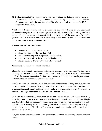**42. Dull or Eliminate Pain** - Pain is your brain's way of telling you that something is wrong. It is a necessary evil but one that you can have power over using Law of Attraction techniques. Our minds can be trained to perceive pain differently in order to live a less painful life for those with chronic pain.

What to do: Before you can dull or eliminate the pain you will need to help your mind acknowledge the pain so that it is no longer necessary. Thank your body for letting you know that something is wrong and tell yourself that it is okay to turn off the signal now. Eventually, your mind will not perceive the pain as something so bad. One day you will look back and realize with surprise that you no longer have that pain.

## **Affirmations for Pain Elimination:**

- My body is completely free of any pain
- I have total control of how my body feels
- I wake up every day with less pain than the day before
- It is very easy to release the pain and tension inside me
- I have a natural ability to control what I feel physically

## **Visualization Technique for Pain Elimination:**

Eliminating pain through visualization could literally change your life right now. The first step is believing that this will work for you. If you believe it will work, it WILL WORK. This is how the Law of Attraction works after all. So focus on putting your energy into knowing that you are just moments away from visualizing your pain away.

Imagine that you have already done it right now and let the feeling of being pain free give you even more faith in the process. Now, get into a place where you can relax. Take your shoes off, wear something really comfy and loose, and if you have your hair up, let it down. Now lay down and just focus on your breathing. In....and out....in....and out. Relax.....

Once you are as relaxed as possible, focus on the pain you are feeling. Think about where it is, what shape is takes, and give it a color. Visualiza that you can actually see your pain as a thing in your body. Now that you can see it, you can make it disappear. Move the pain out of your body and visualize in floating above you. Now get creative and watch is be destroyed. Use your imagination to get rid of it. Hit it with a giant bat, watch it get swallowed by a shark, or be sucked into a black hole.

Congratulations, your pain is gone. If not, practice this and focus on removing your doubt to see results.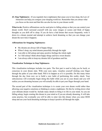**43. Stop Nightmares** - If you regularly have nightmares that cause you to lose sleep, the Law of Attraction can help you conquer your sleeping world too. Remember that you attract what you focus on the most and that this can also be true in your dream world.

**What to do:** Positive affirmations can be used prior to falling asleep so that you can control your dream world. Don't surround yourself with any scary images or scenes and think of happy thoughts as you drift off to sleep. If you do have a bad dream that occurs frequently, write it down in a dream journal and attempt to achieve lucid dreaming so that you can change your dream the next time it happens.

# **Affirmations for Stopping Nightmares:**

- My dreams are always full of happy things
- When I sleep, my mind dreams peacefully through the night
- I am able to fall asleep and enjoy positive feelings the whole night
- As I fall asleep I think about happy things and have sweet dreams
- I am always able to keep my dreams full of goodness and fun

# **Visualization Technique to Stop Nightmares**

This visualization technique includes two parts. The first part is used to help you be lucid, or conscious in your dream state. With your eyes open, visualize yourself sticking your finger through the palm of your other hand. Will it to happen as of it is possible. Do this many times through the day from now on to build a new habit of performing this reality check. Your subconscious will eventually begin doing this habit while you are in your dream and you will realize you are dreaming because you will actually be able to put your finger through your hand.

The second part of the visualization technique is to create your own dream world rather than allowing your negative emotions or thinking to create a nightmare. Do this by writing down what your ultimate dream would be. Include many details to bring it to life in your mind. As you are falling asleep, begin creating this dream in your mind as if you are already dreaming. It will take some practice, but eventually you will be able to enter into this dream when you enter REM sleep and use your lucid dreaming technique to keep it positive all through the night.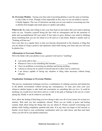**44. Overcome Phobias** - Facing your fears and overcoming phobias is just the same as learning to ride a bike or swim. Though it feels impossible at first, once we set our minds to success it finally happens. The Law of Attraction can help you set your mind to overcoming any fear or phobia from heights and small spaces to spiders and snakes.

What to do: Be ready and willing to face your fear head on and realize that your mind is playing tricks on you. Visualize yourself facing the fear with no consequence and let the emotions of pride and accomplishment fill your mind. If fear starts to grow, distract your mind by thinking about something that you are not afraid of at all such as a cute kitten. Repeat a mantra such as "Nothing will hurt me."

Face your fear on a regular basis so that you become desensitized to the situation or thing that you are afraid of. Keep a positive and optimistic mind while facing your fears and you will soon be phobia free.

## **Affirmations to Overcome Phobias:**

Fill in the blank with your phobia or use a general word such as "anything".

- I am easily able to face
- Whenever I have to do something that includes \_\_\_\_\_\_\_\_\_, I am fearless.
- I have no problems overcoming my phobias and facing anything.
- I choose to always be in control of myself and never allow fear to control me.
- I am always capable of facing any situation or thing when necessary without being affected.

## **Visualization Technique to Overcome Phobias:**

This proven visualization technique involves a combination of calming exercises and immersion in the phobic environment without having any consequences. To start, just close your eyes whenever phobia begins to take hold and concentrate on something that you love. It could be anything you would never turn down such as a walk in the park or basking in the sun on a warm spring day. Really it can be whatever you decide.

Next, allow the feeling of that thing you love doing to take over all of your senses for at least two minutes. Wait until you feel completely relaxed. When you are totally at peace and feeling content, think about doing the things that you are afraid of. Picture yourself overcoming your phobia while feeling completely unafraid and calm. If at any time you begin to feel anxious or fearful, revert back to your comforting visualization until you calm down, and then start back where you left off in your phobia immersion.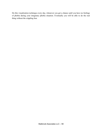Do this visualization technique every day, whenever you get a chance until you have no feelings of phobia during your imaginary phobia situation. Eventually you will be able to do the real thing without the crippling fear.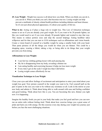**45. Lose Weight** - Weight loss success is all about how you think. When you think you can do it, you can do it. When you think you can't, that becomes true too. Losing weight can help prevent a multitude of obesity related health problems including diabetes and heart disease. So it's not just about physical appearance, it's about your quality of life too.

What to do: Acting as if plays a huge role in weight loss. This Law of Attraction technique means to act as if you are already your goal weight. So if you want to be 20 pounds lighter, act like you would need to act if you were already 20 pounds lighter and wanted to stay that way. This means to reduce portion sizes and skip the second helpings. Eating healthier takes willpower and for that you can turn to LOA techniques such as affirmations and vision boards. Create a vision board of yourself at a healthy weight by using a smaller body with your head. Then paste pictures of all the things you would do when you are thinner. This could be a shopping spree, wearing a bikini, taking a trip, or being able to do things that your weight prevents you from doing.

## **Affirmations to Lose Weight:**

- I can feel my clothing getting looser with each passing day
- My fat is disappearing from my body, revealing a thinner me
- I am eating healthy and exercising because it helps me lose more weight
- Every time I get on the scale I weigh less than I did before
- Losing weight comes effortlessly for me

## **Visualization Technique to Lose Weight**

Close your eyes and allow feelings of excitement and anticipation to enter your mind about your weight loss goal. Now picture yourself at the weight you want to be. Feel yourself pull on the pair of pants in the size you want to be without any resistance at all. Look in the mirror at your new body and admire it. Think about being able to walk around with ease and feeling confident and good looking. Think about how this is you. You are becoming this new, thinner you right now. It is happening.

Imagine the healthy foods you put in your body that make you feel good and how you can now run an entire mile without feeling tired. Think about how exercise brings you a great sense of pride and fuels you with energy. Do this exercise every day during your weight loss journey just before you face the most challenging situations.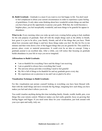**46. Build Gratitude** - Gratitude is a must if you want to ever feel happy in life. You don't need to feel complacent to about your current circumstances in order to experience a pure feeling of gratefulness. It only takes some thinking about how wonderful certain things are and that you have been given the opportunity to pursue your goals. With that, the world becomes a brighter place, you feel inexplicably wonderful, and more things to be grateful for appear in abundance.

What to do: Every morning when you wake up and every evening before going to bed, meditate for the sole purpose of gratitude. Start off with the simple things such as the ability to breath, how great it is just to be alive, your family, friends, and all of the things that you have. Think about how awesome each things is and how those things make you feel. Do this for five to ten minutes and then write down a few of the biggest things that you are grateful for. This could be a person, place, event, or material possessions. It could even be an idea or concept. Using a gratitude journal is an excellent idea. After a while, you will notice that focusing on gratitude builds abundance in your life in ways you never imagined.

## **Affirmations to Build Gratitude:**

- I am so thankful for everything I have and the things I am receiving
- I am so grateful to always have everything that I need
- The universe always provides everything I need to feel grateful
- My life is full of things to be thankful for and my gratitude grows every day
- My experiences are so precious to me and I am so glad to be alive

# **Visualization Technique to Build Gratitude:**

For this visualization just picture yourself looking at everything you have been blessed with. Start with the small things and move towards the big things, imagining how each thing you have makes you feel and what it allows you to do.

You could visualize anything during this time including family, friends, wealth, health, pets, even things like your remote control. Whatever makes you feel really grateful, focus on growing that feeling bigger and bigger. If you need some ideas for your visualization, just look around with your eyes open and really, truly see.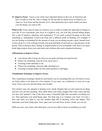**47. Improve Focus** - Focus is one of the most important factors to the Law of Attraction and how it works in your life. This is simply for the fact that we attract more of whatever we focus on. Your focus and the amount of it is what determines how much control you have over the things you want in life.

What to do: Focus must be done in a positive way in order to enable the right kind of change in your life. If you concentrate your focus in a negative way, you will find yourself falling deeper into a trap of negative situations and experiences. If you catch yourself focusing on how bad something is, immediately switch your brain into a different mode of thinking. For example, if you are feeling overwhelmed by the amount of work you are doing towards a goal, instead focus on how great it is to be working towards your goal and think of each task as a special piece to the puzzle. Find excitement and a feeling of empowerment as you accomplish work and if you must, break large projects down into mini-tasks and celebrate after each completed milestone.

## **Affirmations to Improve Focus:**

- I am always able to keep my focus on my goals and keep moving forward
- When I do something, I put all of my focus into it
- Focusing comes naturally to me
- When I do something, I become fully absorbed in it
- Focusing on things makes me feel really productive and happy

# **Visualization Technique to Improve Focus:**

This visualization technique should be used before you do something that you will need to focus on. Find a place to be alone for a few minutes. If you must, use a bathroom or your car to get away. Close your eyes and take deep, slow breaths.

Now picture your ears opening to hearing every sound. Imagine that you just removed ear plugs and now you can hear anything. Next, think about your mind, imagine that it has a door and that you have just opened it. Out of the door comes a beautiful light that surrounds everything you see. This represents your mind being open. The final step is to visualize your heart. It to has a door and when you open it, you free another light full of dazzling colors and shapes. This represents your heart being open. Now, open your eyes and focus on how clearly you can see.

With your ears, eyes, heart, and mind open, you are now able to focus on anything you want!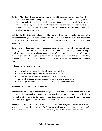**48. Have More Fun** - If you are feeling bored and unfulfilled, guess what happens? You will attract more boredom and things that don't fulfill your emotional needs. Not having fun is a choice you make from within, not really a product of our environments at all! Have you ever watched a child play with the same toy for hours and days, coming up with new ways to make each moment unique? Rekindle your ability to do similarly and you'll unlock the doors to all the fun you could want.

**What to do:** The first step is to loosen up. Then put a smile on your face and start making a list of everything that you have done that you find fun. Think about how much fun you have doing certain activities by visualizing them in your mind and allow those feelings to make you feel good now.

Take your list of things that you enjoy doing and make a promise to yourself to do more of them. If money is an issue, there are TONS of ways to have fun without dropping a dime. Take up a challenge, become passionate about a hobby, get out of the house and meet people, volunteer for a charity or organization such as a no-kill animal shelter, learn a new skill, or do something different with your routine. All of these things can help spice up your life and make you feel the fun again.

## **Affirmations to Have More Fun:**

- I always have fun no matter where I am or what I am doing
- I always surround myself with people that like to have fun
- I am easily able to use my imagination to make anything fun
- Life is full of fun adventures, comical experiences, and exciting journeys
- Fun always finds me wherever I go and everything in life is fun for me

## **Visualization Technique to Have More Fun:**

Think about a time that you had the most fun you have ever had. Now recreate that day or event in your mind as accurately as you can. You can actually trick your mind into feeling like it has just had a lot of fun with this technique and keep you going through the day with more happiness. The happier you are, the more fun will find you.

Remember to use all of your senses to imagine the fun time. See your surroundings, smell the scents in the air, hear the sounds, feel the things you touch, and taste the things you eat or drink. Also, be sure to think about how you feel emotionally too! That's the most important part.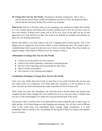**49. Change How You See The World** - Perception is all about comparisons. This is why a person that has always know wealth and abundance can feel as if they are deprived while a person that has been poor all their life can feel very fortunate.

**What to do:** The key is all about what you are comparing your situation to. Rather than looking at a very wealthy person and feeling like you have nothing, look at how far you have come on your own journey. If things aren't going well at all for you, focus on the path you are on and appreciate every step forward you take. Also learn to be thankful for mistakes and setbacks, as these are your learning experiences.

Realize that failure is not truly failure at all, but a stepping stone towards success. One of the biggest ways to change how you see the world is to stop watching the news. The world is such a wonderful place full of good, but the news never shows you those things. They focus mostly on negative things, which makes it difficult to see the world as it truly is.

# **Affirmations to Change How You See The World:**

- I choose to see the positive in every situation
- I believe the world is generally a good place with good people
- My life is full of blessings and I am grateful for what I have
- There is beauty all around us
- Our existence is awe inspiring and magical

# **Visualization Technique to Change How You See The World:**

Close your eyes. Think about all of what we have here in our world. Visualize the universe and how small earth is in comparison. Now think about how amazing it is for our planet to even exist. Visualize all of the small details that make it possible for life to be here at all.

Think about our water, the atmosphere, the food that grows and the plants and animals that complete the food chain. Imagine how life would be for us if we were any closer or further from our sun or what would happen if we didn't have the gravitational pull of the moon.

Also picture what it would be like if our planet did not rotate around the sun or spin to give us night and day. All of these things are mind boggling and amazing. You will have such a different view of the world when you contemplate these concepts using visualization. It is truly remarkable. Allow yourself to feel the gratitude for having all of these tiny things come together for us to be here.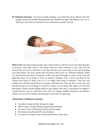**50. Eliminate Insomnia** - If you have trouble sleeping, your whole life can be affected. You feel groggy, moody and irritable during the day, and miserable at night. But thanks to the Law of Attraction, most cases of insomnia can be eliminated or greatly relieved.



**What to do:** The main mistake people make with insomnia is that they focus all of their thoughts on trying to calm their mind to fall asleep while the mind continues to race. This tells the universe that you have a mind that is not calm and that you cannot sleep so you end up hurting your sleep efforts even more. Rather than focusing on that, focus on a different technique. When it is time for bed, take about 30 minutes to allow any and all thoughts to come to your mind and appreciate them. If you begin to focus on solving a problem, write it down and think of any solution that comes to mind, even if it is to simply think about it tomorrow. Then put your writing away and tell yourself that you are done with them now. Then lay down, close your eyes and picture that you are looking at yourself in a place of your choice that makes you feel calm and relaxed. Watch yourself falling asleep in your mind in that oasis. A good place to imagine is a beach because you can watch the waves roll in or imagine dolphins playing in the distance. Chances are you will be asleep and dreaming of your oasis all night long.

#### **Affirmations to Eliminate Insomnia:**

- I am able to sleep restfully through the night
- When I sleep I awaken feeling energized and refreshed
- It is easy for me to fall asleep quickly and stay asleep
- My sleep is peaceful and full of good dreams
- It is always so simple to get into bed and fall into a deep sleep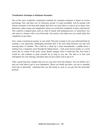#### **Visualization Technique to Eliminate Insomnia:**

One of the most wonderful visualization methods for insomnia treatment is based on reverse psychology first, and then Law of Attraction second. It works incredibly well for people with chronic insomnia or for those that simply don't feel very tired when it is time to go to sleep. First, determine a place using your imagination where you would feel completely at peace and relaxed. This could be a magical place such as a bed of clouds with healing powers, or somewhere very safe such as a fortress with a cozy bed inside. Get creative, but make sure you would really feel completely at ease there.

Now, create a treacherous journey in your mind. This part is meant to tire your mind and body by creating a very physically challenging adventure that is the only thing between you and your relaxing place of slumber. This could be a climb up a steep mountainside, a paddle down a rushing river, a desperate crawl through the Sahara desert, a trek across frozen tundra, or a swim across the icy waters of the arctic ocean. Really imagine what it would feel like, how hard it would be, and continue to push yourself for as long as you can. The idea is to feel such anticipation for your relaxing, safe place that you just cannot wait to get to it!

After a good long time, imagine that you see your oasis off in the distance. You can finally see it and you work hard to get to your destination. When you finally get there, you are so mentally tired and so physically exhausted that you fall asleep as soon as you get into the horizontal position.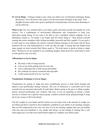**51. Get in Shape** - Getting in shape is easy when you utilize Law of Attraction techniques during the process. You will need to take action to do this but action all begins in the mind. Your thoughts become reality and a goal of getting the toned physique you have been dreaming of can be achieved.

What to do: Get very detailed about your fitness goals and hold yourself accountable for your choices. Use a combination of motivational affirmations and visualization to keep your motivation going strong. If you want to be able to run a marathon without stopping. Use an affirmation similar to, "Everyday I run longer and feel better doing it." Then picture yourself running that entire marathon while feeling incredible, powerful and fully capable. If your goal is to look good in your bathing suit, picture yourself looking amazing on the beach and let those emotions fill you with determination to work out and eat right. A saying that has helped keep many people on track towards their fitness goals is, "No food tastes as good as being in shape feels." Whenever you are tempted to eat something naughty, think about how much better it feels to look good in your own skin.

## **Affirmations to Get in Shape:**

- My body is full of strong muscles
- I am see my body getting more fit every day
- I have a physique that is both strong and healthy
- My workouts are always consistent and enjoyable
- I really push myself to be my very best

# **Visualization Technique to Get in Shape:**

Visualization for getting in shape has been scientifically proven to help build strength and improve your performance during workouts. The Law of Attraction is a powerful tool to turn yourself into an extremely physically fit individual. Before going to the gym or lifting weights, picture yourself performing your workout with ease. If you are planning on doing a certain activity or workout out a specific muscle group, visualize yourself easily getting through it using all of your senses to fill in the details.

Feel the weights in your hands and the tension on your body, look at the amount of weight you are lifting and allow yourself to feel completely confident in your ability to do anything. Imagine that you feel empowered to be your very best. If you are running, imagine that you can breathe with ease and your heartbeat is very steady and strong. Let the feeling of running like a well oiled engine give you that extra motivational support to complete your fitness goals.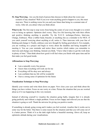**52. Stop Worrying** - Are you the kind of person that chooses to think about the worst case scenario of any situation? Well if you ever want anything good to happen to you, this must stop now. There is nothing worse for you and your future than being in a constant state of worry. After all, you attract what you think about.

What to do: The first step to stop worry from being the center of your every thought is to switch over to being an optimist. Optimists don't worry. They live life knowing that with their efforts and positive thinking anything is possible. Try the N.I.C.E. technique.(Notice, Intervene, Change, Embrace). Wear a rubber band, bracelet, or anything else as a reminder to be NICE. If you catch yourself worrying about anything at all, notice it. Then intervene with your line of thinking and change it. Finally, embrace your new thought by feeling good about it. For example, you are working on a project and begin to worry about the deadline and being incapable of meeting it. You see your reminder and notice these worries which makes you remember to intervene and change your thinking. Instead you think, "I have what it takes to get the work done in plenty of time." Then think about how good it will feel when you finish with spare time and let that make you feel good inside.

## **Affirmations to Stop Worrying:**

- I am a naturally worry free person
- I know that everything will work out for me
- Everything will be okay now and always
- I am confident that my life will be wonderful
- I have a strong sense of optimism for the future

## **Visualization Technique to Stop Worrying:**

Identify your worries and write them down on paper. Now close your eyes and think about the things you have written. Focus on one worry at a time. Picture the situation that you are worried about as if it was happening in this very moment.

Instead of allowing yourself to visualize the situation going badly, imagine that it is already going perfectly and without a single problem. Focus on how happy and relieved you are that the situation is going so well. Thank the universe for giving you positive results.

If something is already going wrong and it makes you feel worried, visualize that it works out in some way for the better. That there is some reason for the situation and that you will come out of it a better person. Think of it as the dark night before a beautiful morning. Above all, keep an optimistic attitude during your visualizations.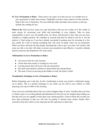**53. Get a Promotion or Raise** - There aren't very many of us that can say we wouldn't love to get a promotion or make more money. Thankfully you have some control over this with the help of the Law of Attraction. You can climb the ranks and make more money so don't go another day settling for less.

**What to do:** Find out how much you want and believe that you are worthy of it. Be worthy of more money by increasing your skills and knowledge in your industry. Take on more responsibility to prove you can handle more. Go above and beyond to show that you are more valuable in a higher position. Be confident in yourself and don't be afraid to ask for it. You do deserve it. Start acting as if you have already succeeded in getting more by investing in a few nice outfits for work or buying something that will come in handy when you are promoted. When you dress and look the part people automatically want to give you more. Get creative and come up with a way that will make everyone more productive and effective. A positive attitude spawns creativity and inspiration will come easily.

#### **Affirmations to Get a Promotion or Raise:**

- I am next in line for a pay increase
- I know that more money is coming my way soon
- I am the person that will receive the next promotion
- My skills and expertise continue to attract better pay and positions
- The more I focus on moving up the ladder at work, the faster I climb

## **Visualization Technique to Get a Promotion or Raise:**

Before beginning your work day, do this visualization to keep your positive vibrational energy set to attract. This is a perfect technique to use while you are still in your vehicle or while enjoying your cup of coffee in the morning.

Close your eyes and think about what you want to happen today at work. Visualize that your boss or clients come to you with gratitude and admiration for the job you do. Imagine them telling you that they feel you are capable of more than your current position. Listen to them tell you that you have been promoted or that you will now be getting X amount more money. Really allow yourself to hear the words in your mind and see the expression on their face.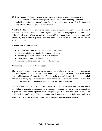**54. Gain Respect** - Without respect it is impossible to be taken seriously and appear as a valuable member of society. Earning the respect of others starts internally. There are probably a lot of things you don't know about how to gain respect so let's clear things up and find out what it takes to gain this crucial virtue.

What to do: The answer to gaining the respect of others lays in how much you respect yourself and others. When you think about your respect for yourself and the people around you, this is reflected back to you. When you lack respect yourself, you cannot expect anyone to respect you! That's why they say that respect is a two way street. This is a perfect example of the Law of Attraction in action.

## **Affirmations to Gain Respect:**

- All those who know me treat me with the utmost respect
- I am respected by my family, friends, and colleagues
- When I speak, people listen with respect and trust
- My respect for others is always mutual
- I am admired and respected by those who know me

## **Visualization Technique to Gain Respect:**

This visualization can be done before any social situation to give you the boost of confidence you need to gain immediate respect. Think about the people you are about to see. Think about having a high amount of respect for them. Practice acting respectfully towards them in your mind and focus on having a polite expression on your face as well as using kind words. Visualize that they return your respect through their words, actions and facial expressions.

Note how good it feels to be around people who respect your and treat you with kindness. Allow that feeling to magnify and imagine that it becomes so strong, that you are now a magnet for respect. Think about the people that have disrespected you in the past now unable to say or do anything disrespectful again. Your entire aura now demands respect. It feels very good. Now open your eyes and enter into that social situation exuding confidence and respect.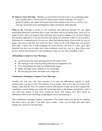**55. Improve Your Marriage -** Whether you just tied the knot last week or are celebrating many years together, there is always room for improvement within a marriage. No couple is absolutely perfect, and others will require much more attention, but have no worries, your marriage can be full of love and happiness when you take the right approach.

**What to do:** Marriage is based on your intentions and following through. It's also about welcoming differences and being able to cope with them with an accepting heart. There will no doubt be times when you disagree with each other and a positive attitude is all you need. Bring a fun and flirty approach to every day and don't take things too seriously. If there is an issue that is bothering you, communicate in a loving way rather than placing blame. Always look for ways to please your spouse and they will return the favor. Focus on all of the things that your partner does right. A great way to help strengthen the bond between you both is to give each other intention lists and vow to make each others intentions come true, one at a time. Keep them positive. Rather than saying you want something to stop, say you want something to start.

## **Affirmations to Improve Your Marriage:**

- I am married to the most amazing person in the entire world
- My marriage is one of the best things that has ever happened to me
- I love doing things that make my husband/wife happy
- Happy marriage comes naturally to our relationship
- My marriage gets better and better every single day

## **Visualization Technique to Improve Your Marriage:**

Visualize the way you want your marriage to be and use affirmations together to instill characteristics you want to have. For instance, if your spouse wants you to put your socks in the hamper rather than the floor, be receptive and use affirmations to help you do this coupled with visualizing yourself taking your socks off and putting them in the hamper immediately. And if you want your spouse to help more around the house with chores, have them repeat an affirmation followed by visualizing completing the chores and enjoying it.

This visualization technique requires compromise. You cannot make your spouse do anything they don't want to do. But, if you both want to make it work, you can help each other make changes for yourselves and each other.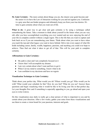**56. Gain Certainty** - The more certain about things you are, the clearer your goals become and the easier it is to have the Law of Attraction working for you and not against you. Confusion is a gray area that can hinder progress and ultimately keep you from your true desires. It's time to gain certainty about what you want out of life.

What to do: A great way to get clear and gain certainty is by using a technique called remembering the future. Take a moment to think about yourself in the future when you are very old, after you have accomplished everything you ever wanted and are now enjoying the end of your life in complete comfort without a single regret. This is the life that you want to capture and look back on as if you are remembering your future. Think about what you want to have when you reach the top and what legacy you want to leave behind. Delve into every aspect of what life holds including career, family, wealth, happiness, passions, and anything you could ever hope to achieve. Then find out what it takes to get all of that. This will be your path to complete certainty.

#### **Affirmations to Gain Certainty:**

- My path is clear and I am completely focused on it
- I know that I will accomplish my dreams
- I am very certain about what I want and how to get it
- When I set my mind to something, I know what to do
- I am confident in my decisions and have no regrets

## **Visualization Technique to Gain Certainty:**

Think about your perfect day. What would you do? Where would you go? Who would you be with? What would your schedule be like? How do you feel? What do you see? Answer these questions and begin visualizing what it would be like to be living your life in that perfect day. Let your thoughts flow and if something is especially appealing to you, go ahead and open your eyes to write it down.

Do this visualization once daily to really get a clear picture of what is important to you and be certain about your direction. After a few weeks, gather your notes from these visualizations and use them to create a vision board for your passions, interests and goals.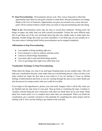**57. Stop Procrastinating** - Procrastinators always wait. They wait so long and so often that opportunities pass them by and goals continue to elude them. But procrastinators can change thanks to the Law of Attraction. Opportunities can greet you around every corner and your goals will be reached without a doubt when you learn to stop procrastinating and start doing.

**What to do:** Procrastinators rarely take the time to record their ambitions. Writing down the things on paper can really help you hold yourself accountable. Choose the more difficult tasks first to get them out of the way and break down big jobs into smaller tasks to make them less daunting. Another things that stops you from immediacy is not believing you can actually do it. You must remove limiting beliefs before procrastination can be stopped completely.

#### **Affirmations to Stop Procrastinating:**

- I am capable of doing anything right now
- Every moment is a time to embrace and take action
- I choose to finish things immediately
- I am easily able to start and finish things quickly
- I love to get things done right away rather than wait

#### **Visualization Technique to Stop Procrastinating:**

Think about the things you want to do and begin breaking them up into smaller tasks. This will help your visualization become a treat rather than an overwhelming process. Once you have your steps worked out, begin the first step in your mind as if you are starting it. Focus on stirring feelings of determination and focus as you are working through the step in your mind. Really get into the process by seeing exactly what you would do in reality.

If you begin to feel apprehensive, picture your end result. Imagine what it will be like when you are finished and one step closer to your goal. Then go back to visualizing the steps. Continue to visualize yourself doing the next consecutive task until you finish them all in your mind. Think about how much easier it is to complete these tasks than you anticipated. When you finish the visualization, give yourself a moment to feel gratitude for completing the entire project and for sticking with it. Now use this feeling to get started on the real deal.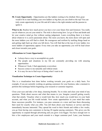**58. Create Opportunity** - Opportunities are like ladders waiting to be climbed. How great would it be to start building your own ladders so big that you can climb to the top? You can truly create opportunity in your life and all it takes is the right mindset and the passion to ignite it.

What to do: Realize how much power you have over your future first and foremost. You really can do whatever you set your mind to. The trick is discovering how. Let go of fear and doubt and let your creative mind go free without casting judgement. Learn everything there is to know about whatever it is you're passionate about. The more you know, the more doors will open and the more ladders you will find to climb. Be courageous and resilient by tackling things head on and getting right back up when you fall down. You will find that at the top of every ladder, two more ladders of opportunity appear. Every time you take an opportunity you will be lead closer and closer towards your goals.

#### **Affirmations to Create Opportunity:**

- I always have a way to accomplish my goals
- The people and situations in my life are constantly providing me with amazing opportunities
- Whenever I look, I find opportunity everywhere
- Success comes to me naturally and without strain
- It is easy for me to find ways of doing what I want to do

# **Visualization Technique to Create Opportunity:**

This is a visualization best done before working towards your goals on a daily basis. For example, if you are currently working on gaining customers for your business, take a moment to perform this technique before beginning your research or customer inquiries.

Close your eyes and take a few deep, cleansing breaths. Try to relax and clear your mind of any questions. Think about success and what that means to you. Imagine yourself getting exactly what that entails. Visualize what is would look like, how much you would have in your bank account, and what you life would include. Now create opportunities in your mind that make those successes possible. For instance, you pass someone at a store and hear them discussing their need for exactly what you offer. You tell them about your business or service and they immediately become interested. They spread the word to their friends and within a few weeks, you go from having zero customers to having 20 regular paying customers. This gives you the opportunity to expand through advertising and you grow even bigger. You have enough now to hire a few employees and your reach extends to a larger customer pool. Later, your business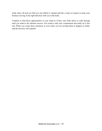really takes off and you find you can afford to expand and hire a team of experts to keep your business moving in the right direction with you at the helm.

Continue to find these opportunities in your mind as if they were little doors to walk through until you achieve the ultimate success. Get creative with your visualization and really let it feel real. When you create these situations in your mind, you are inviting them to happen in reality and the universe will respond.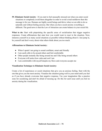**59. Eliminate Social Anxiety** - If you start to feel unusually stressed out when you enter social situations or completely avoid them altogether in order to avoid a total meltdown then this message is for you. Humans are highly social beings and thrive when we are able to do so naturally and without feeling anxious. But when you have social anxiety everything is different. The good news is that the Law of Attraction can create balance in your social life.

What to do: Start with pinpointing the specific areas of socialization that trigger negative responses. Create affirmations that state how you would want to react in the situation. Next, immerse yourself in as many social situations as possible without thinking about it. Just jump in, be yourself and don't worry about what others think about you too much.

#### **Affirmations to Eliminate Social Anxiety:**

- When I speak I am going to sound confident, smart and friendly
- I am easily able to be around others and feel comfortable
- Other people instantly like being around me and I like being around others
- Everyone will notice how calm and cool I am
- I am comfortable with myself despite my flaws and everyone accepts me

#### **Visualization Technique to Eliminate Social Anxiety:**

Create a list of experiences or social situations that give you an anxious feeling. Start with the one that gives you the most anxiety. Visualize the situation going well in your mind until you feel as if you have already overcome that negative response. Use your imagination like a practice zone for socializing and don't be afraid of messing up. Do this for each issue until you feel no anxiety during the visualization.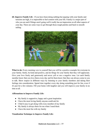**60. Improve Family Life** - If you have been doing nothing but arguing with your family and tensions are high, it is impossible to feel content with your life. Family is a major part of who you are and if things aren't going well it really has an impression on all other aspects of your day. There are some ways to get through those rough patches and back to smooth sailing.



What to do: Every morning vow to yourself that you will be a positive example for everyone in your family. Smile, be kind and positive, and do things for your family that they will appreciate. Give your love freely and generously and never yell or use a negative tone. Let each family member know that you love them every day and let them know that they can always come to you to talk. Show respect in different ways by listening to your family members and taking their feelings into consideration. Spend time together every day doing something just for fun, even if it's just for a few minutes. Fill your home with laughter and you will improve your family in no time at all

#### **Affirmations to Improve Family Life:**

- My family is supportive, happy and a great inspiration
- I have the most loving family anyone could ask for
- I find it easy to get along with every member of my family
- My family is always there for me when I need them
- I have the most fun with my family

#### **Visualization Technique to Improve Family Life:**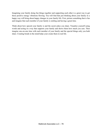Imagining your family doing fun things together and supporting each other is a great way to get those positive energy vibrations flowing. You will find that just thinking about your family in a happy way will bring about happy changes in your family life. First, picture something that is fun and imagine that each member of your family is smiling and having a great time.

Think about how special your family is and the secret jokes you share. Visualize yourself using words and acting in a way that supports your family and shows them how much you care. Then imagine one-on-one time with each member of your family and the special things only you both share. Creating bonds in the mind helps your create them in real life.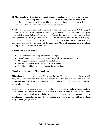**61. Meet Deadlines** - Those that have trouble sticking to deadlines probably don't care enough about them. Even if they do care, they may not have the drive or positive attitude to be consistent and persistent with getting things done on time. If this is you, here are a few ways the Law of Attraction can help you keep your deadlines met.

What to do: Of course you want to be positive about reaching your goals, but the biggest mistake people make with deadlines is committing too much too soon. Be realistic with your goals and give yourself plenty of time to achieve them so that you can enjoy the process without getting burned out. When you have lots to do, focus on meeting daily, hourly, or minute-byminute targets rather than feeling overwhelmed by the enormity of a project. Then celebrate each completion with a small reward or a well deserved break. Above all, maintain a positive outlook to bring a sense of satisfaction to your work.

#### **Affirmations to Meet Deadlines:**

- I am easily able to meet any deadline I set for myself
- My efficiency and determination gives me the ability to meet my deadlines
- Meeting deadlines comes naturally to me at all times
- There is no deadline that is too much for me to handle
- I am like a machine when it comes to getting things done

#### **Visualization Technique to Meet Deadlines:**

Think about assignments you have and how easy they are. Visualize yourself starting them and being able to immerse yourself into each task effortlessly. Picture how wonderful it feels to be so engaged in your projects and how quickly you get things done. Imagine having plenty of time to take breaks and relax too.

Picture what your client, boss, or you will look like and feel like when you have met the deadline given. Imagine how wonderful you will feel when it is done on time and with quality. Think about what could come about from being so punctual, such as a raise or promotion. Do this visualization before starting any project with a deadline and you will have no problems chucking away at it until you get it done.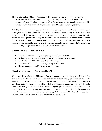**62. Work Less, Have More** - This is one of the reasons why you have to love the Law of Attraction. Working less often and having more money and freedom is a major reason to turn around your vibrational energy and allow the universe to bring abundance into your life. Of course you must be wondering what the secret it to such an amazing concept.

What to do: Be confident in your skills and your value whether you work as part of a company or run your own business. Don't be afraid to ask for more money because you are worth it. If you don't believe that you are, start using affirmations so that your subconscious can get into alignment with a prosperous energy. Start planning your vacations and thinking about all of the things you will do with more money and freedom. Have patience during your journey towards this life and be grateful for every step in the right direction. If you have a setback, be grateful for that too as they always provide a valuable lesson that can be used.

#### **Affirmations to Work Less, Have More:**

- I am able to provide quality over quantity and get more in return
- My knowledge and expertise is deserving of high pay and more freedom
- I work when I feel like it because I can afford to enjoy life
- I am resourceful enough to make my money work for me
- Making money comes effortlessly to me at all times

#### **Visualization Technique to Work Less, Have More:**

We attract what we focus on. This means that you can attract more money by visualizing it. You can even get creative with this one. Many experts recommend making your own money tree to sit on your nightstand or desk. Get a piece of thick paper and create a cone shape that looks like a very large party hat. Set it on your table or desk and place some money on it using sticky tack. Look at the money and be grateful for it. Now close your eyes and imagine that the tree is full of large bills. Think about it getting more and more money added every day. Imagine how good you feel when the money tree is full of lots of money that you made. This beats the piggy bank because you can actually see all of your money increasing each day.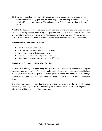**63. Gain More Freedom** - As you work less and have more money, you will ultimately gain more freedom to do things you love. Freedom might mean one thing to you and something entirely different to someone else. The main thing is to find your own freedom and chase after it.

**What to do:** Your freedom can be found in your passions. Doing what you love more often can be done by getting creative and making your passions fund your life. If you love to pain, make your paintings available to buy and know that someone will love your work. Whatever you love, just do more of it and opportunities will find you that can transform your passions into profit.

#### **Affirmations to Gain More Freedom:**

- I am free to be who I want to be
- It is easy for me to clear up free time for myself
- I enjoy being free to do the things I love
- I am able to do all of the things that I want to do
- My freedom gives me time to enjoy all of life's moments

## **Visualization Technique to Gain More Freedom:**

For this visualization just imagine doing what you want to do without any inhibitions. Close your eyes to an imaginary world of fun, fantasy and freedom like you have never experienced before. Allow yourself to really be spoiled. Visualize yourself buying the things you have always wanted, going places you dream about going, and doing things that you have always been dying to do.

Get all of your senses involved. Feel the fabric of that new coat, smell the way the Hawaiian breeze in your Maui getaway, or taste the salty air as you sail the seven seas. Really get into it. The feeling will bring you more freedom for sure.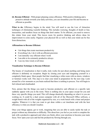**64. Become Efficient** - With proper planning comes efficiency. With positive thinking and a proactive attitude towards your daily activities, you can streamline your life and become as efficient as possible.

What to do: Efficiency begins in the mind. You will need to use the Law of Attraction techniques of eliminating wasteful thinking. This includes worrying, thoughts of doubt or fear, insecurities, and needless focus on things that don't matter. To be efficient, you need to remove this clutter from your mind. This leaves room for positive thinking and allows ideas for improvement to come easily. Organize your physical life as well so that your mind can be free from distractions.

#### **Affirmations to Become Efficient:**

- I do things that create maximum productivity
- Everything I do, I do it with an efficient precision
- I am naturally very efficient when I work
- I am able to be extremely productive always
- I use my time wisely at all times

#### **Visualization Technique to Become Efficient:**

The beauty of visualization is that it really, truly works for just about anything and being more efficient is definitely no exception. Begin by closing your eyes and imagining yourself in a completely blank space. Most people find that visualizing a white room with no doors, windows or furniture works well. This step is to clear your mind in preparation for the next step. Look around for a few moments as you brain realized that there is nothing to process. You will begin to feel relaxed and clearheaded.

Now, picture that the things you need to become productive and efficient at a specific task suddenly appear with you in the room. There is nothing else in your space except for you and these very specific things you need. This will change drastically depending on what it is you are working on. It could be a dual screen computer with all of the Microsoft Office software, a weight bench with all of the weights organized by size, or a work bench with a timer and project supplies. Whatever it is that you want to get done within a set timeframe and with the best efficiency is what you should visualize.

Once your things appear, get to work, imagining that you are able to easily tackle the task or project without any distraction or difficulty. This about how you feel as you work to complete the task with a productive approach and when you finish, allow your emotions to become your main focus. Now open your eyes and feel the productivity flowing through you.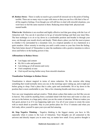**65. Reduce Stress** - There is really no need to get yourself all stressed out to the point of feeling terrible. There are so many ways to cope with stress so that you can live a life that is free of all the negative feelings. Even though you will still have to deal with stressful situations, you won't have to feel the same reaction to them. Reducing stress helps both physical and mental health.

**What to do:** Meditation is an excellent and highly effective tool that goes along with the Law of Attraction well. You can do it anywhere to let go of stressful feelings and find your inner bliss. The best technique is to sit or lay down in a comfortable position and breathe in through your nose, out through your mouth slowly and deeply. Think about a place you feel the most at peace in whether it be surrounded by a mountain view, in a tropical paradise or on a hammock in a quiet meadow. Allow serenity to envelop you until a smile comes to your face from the feeling. That feels better doesn't it? Remember to enter the meditation with a positive intention to relieve stress and believe in the healing powers it has.

#### **Affirmations to Reduce Stress:**

- I am happy and content
- My life is calm and peaceful
- I am letting go of all tension and worry
- I feel completely at ease
- I feel myself moving further away from stressful situations

# **Visualization Technique to Reduce Stress:**

Visualization is almost magical in terms of stress reduction. Do this exercise after doing something that would normally stress you out, in the mornings upon waking up, and at night just before going to sleep. Find a place that is calm, quiet and comfortable. Sit or lay down in the position that is most comfortable to you. Take a few cleansing breaths and close your eyes.

Now use your imagination and get creative. Think about a place that makes you feel like you are in heaven. This could be anything from a secluded island with fruit trees and water so clear you can see to the bottom, to a huge party where you are the center of attention. Whatever makes you feel good, picture it as if it was happening right now. Use all of your senses to create the scene with as much detail as possible. Stay in your perfect place for 10 to 15 minutes and when you feel ready, allow yourself to open your eyes and feel amazing.

**66. Stop Negative Thinking** - Negative thinking is the biggest enemy you have in life, especially when it comes to the Law of Attraction. Your thoughts are all connected to the universe and directly impact you in some way, no matter how small. Every positive thought is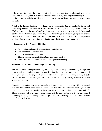reflected back to you in the form of positive feelings and experience while negative thoughts come back as feelings and experiences you don't want. Turning your negative thinking around is not just as simple as being positive. There are a few tricks you'll need up your sleeve to master the skill.

**What to do:** Practice thinking about things you are thankful for big and small. Do this several times a day and don't use the word at least, because that is a negative feeling of lack. Instead of "At least I have a roof over my head" say "I am so glad to have a roof over my head." Be around positive people that make you feel really good and avoid anyone that sucks your positive energy. Realize that you are in control of your choices and that it is all up to you to choose positive thinking. Keep a smile on your face too. Studies show that it helps keep you positive.

# **Affirmations to Stop Negative Thinking:**

- I choose to remain positive despite the current situation
- I am optimistic about the future
- I choose to always find the silver lining
- There is nothing that can hold me back from being positive
- I release all negative emotions and embrace positive thinking

# **Visualization Technique to Stop Negative Thinking** :

This visualization technique is amazing for when you just wake up in the morning. It helps you bring a positive attitude first thing to your day. Start by imagining yourself getting out of bed feeling incredible and energetic. You have plenty of time to enjoy the morning as you get ready for the day. Really allow the experience of being alive and doing your daily activities to fill you with great happiness.

Visualize your entire day going perfectly and every situation concludes with the desired outcome. You feel very productive and good about your day. Think about the people you talk to and the things that you accomplish. Bring a grateful attitude to your visualization to finish it off. These emotions will keep your positive energy high for most of the day. If you feel yourself becoming negative, take a deep breath and go back into visualizing the desired outcome with belief that it will happen.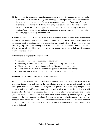**67. Improve the Environment** - Big changes can happen to save the animals and save the earth in our world we call home. But they can only happen for the positive thinkers and doers out there that pursue their passion and truly harness their full potential. These kind of people take the reigns of nature and do their part to bring balance and restore the planet. You can do this kind of work too if it is your passion and the Law of Attraction can help make it all possible. Your thinking can act on the environment, as a pebble acts when it is thrown into the ocean, rippling out way beyond its size.

**What to do:** You need to realize the true power that is inside you alone as an individual to make a difference on a universal level. Your voice can impact people to make changes and when you incorporate positive thinking into your efforts, the Law of Attraction will give you what you seek. Begin by learning everything there is to know about the environment and how it works. When you spread your ideas to others, use a charismatic tone to grow their positive energy towards your cause as well.

#### **Affirmations to Improve the Environment:**

- I am able to take care of nature in a profound way
- My ability to spread the word about our world will bring about change
- I know that I can do my part to make a big difference in the environment
- It only takes one passionate person to bring positive environmental changes
- My compelling words about the environment will spark passion in others

#### **Visualization Technique to Improve the Environment:**

Write down goals that will help improve the environment. When you have a clear path, visualize your ideas taking place and imagine the world being repaired as you act and spread the word about your mission. For instance, if your goal is to prevent trash from being dumped in the ocean, visualize yourself speaking out about the toll it takes on the sea life and how it will directly affect the world. Then imagine that people begin to take you very seriously and become passionate about the cause as well. You could envision that eventually, the message is taught in schools and businesses across the globe. That new regulations and enforcement measures have been put into place as well. Think about a vast movement when it comes to the environmental impact that started with your single voice. Now use this motivational visualization to propel you towards that goal.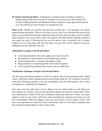**68. Inspire Yourself and Others** - Enthusiasm is contagious and your ability to inspire is already strong. Think about how far the world has come in just a few short decades. We went from lighting lanterns and riding horse drawn carriages to using apps and driving fast cars. How did this all occur? People were inspired for sure!

What to do: Finding your passion and throwing yourself into it will guarantee you remain inspired during the journey. When you do what you love, there is no end result that must be met before you are satisfied because the satisfaction comes from the steps you take as well. To inspire others along the way you just need to share your passion with others and be a shining example of how much you enjoy it. Showing that you care for others is also a wonderful way to inspire. People love to be cared about and once they know you care, they will be inspired to meet any challenges you face right there with you.

#### **Affirmations to Inspire Yourself and Others:**

- I am inspired deeply by the words, sights, and events in my life
- My inspiration comes naturally to me through many avenues
- When inspiration hits, I welcome and embrace it fully
- Being inspired is a wonderful gift that I never take for granted
- I am so grateful for inspiration that comes to me on a daily basis

#### **Visualization Technique to Inspire Yourself and Others:**

The first step to becoming inspired is to learn a lot about what you are passionate about. Watch videos, read books, listen to speakers discuss and do things hands-on. Try to immerse yourself in some kind of learning experience every day. Immediately after you finish doing so, this is when you begin your visualization for inspiration.

First, close your eyes right where you are. Begin to let your mind wander over the things you have learned very recently, what you feel about these things, and what you already knew. Allow your subconscious to bathe in this line of thinking without any direction or reason. Just enjoy whatever comes to your mind. You'll know when something has inspired you because you will feel it immediately. When this happens, open your eyes and get it out on paper. Always write down your inspirations no matter how silly or absurd they seem. It is this kind of inspiration that has created the amazing things we have in this world.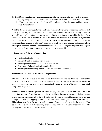**69. Build Your Imagination** - Your imagination is like the branches of a tree. The tree trunk is everything you perceive in the world and the branches are the brilliant ideas that come from that. Your imagination goes hand in hand with inspiration to fuel the future and bring about positive changes today.

What to do: Open your eyes to the beauty and wonders of the world by focusing on things that make you feel inspired. This could be anything from scientific research to dancing. Think of yourself as a small piece to a very big puzzle that fits together to create something brilliant. Then imagine what it is like to be other pieces of the puzzle. Start putting your creative thoughts onto paper or act them out. Bounce these ideas off of trusted friends to gain more insight. They may have something exciting to add. Don't be ashamed or afraid of you strange and unusual ideas. Every great invention and idea sounded ludicrous at one point. Keep yourself positive about your imagination and you could be the next person to improve the world.

#### **Affirmations to Build Your Imagination:**

- My imagination is endless
- I am easily able to imagine new scenarios
- My imagination allows me to think outside the box
- Every day I feel my imagination getting bigger
- My imagination has the potential to take me anywhere I want to go

#### **Visualization Technique to Build Your Imagination:**

This visualization technique is fun and can be done whenever you feel the need to bolster the creative portion of your mind. It involves reading a book or looking at images that evoke an emotional response from you. As you read, actually create a picture of the story in your mind using your imagination.

When you look at artwork, pictures or other images, don't just see them, but pretend to be in them. For instance, if you look at a painting of a ship sailing across the ocean during a rough storm, imagine the movement of the deck under your feet, the feeling of the rough winds moving through your hair and tugging at your clothes. Feel the cool sea spraying mist over your face. Think about what the yells you hear and the sound of the ship creaking under the pressure. You get the idea. Do this kind of visualizing often and you will notice major changes in your ability to use your imagination in many different situations.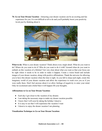**70. Go on Your Dream Vacation** - Attracting your dream vacation can be an exciting and fun experience for you. It is not difficult at all to do and you'll probably boost your positivity levels just by thinking about it.



**What to do:** What is your dream vacation? Think about every single detail. What do you want to do? Where do you want to do it? Who do you want to do it with? Around when do you want to embark on this vacation of a lifetime? Get very clear about what you want so that your focus can be right where it needs to be in order to make it happen. Create a vision board and include images of your dream vacation, along with positive affirmations. Thank the universe for allowing you to have this dream vacation when the time is right. As you fall to sleep each night, create this imaginary world of your dream vacation and allow the experience to wash over you as if you were really there. Don't feel anxious about it or allow feelings of negativity to enter your mind. Only let excitement and a belief that it will happen fill your thoughts.

#### **Affirmations to Go on Your Dream Vacation:**

- Each day I get closer to the vacation of my dreams
- I am taking the necessary steps to make my dream vacation possible
- I know that I will soon be taking the holiday I deserve
- It is easy to see that I will experience the vacation I want
- I deserve to enjoy the dream vacation I am planning

#### **Visualization Technique to Go on Your Dream Vacation:**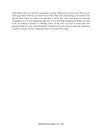Think about what you want from your dream vacation. Where do you want to go? How do you want to get there? Who do you want to travel with? What will you do during your vacation? Get specific about where you want to go and what it will be like. Then close your eyes and start visualizing it as if it were happening right now. If you need help imagining the things you want to do, try looking at pictures or watching videos on the web. Use them to create your own personal paradise in your mind. Remember to include all of your senses to make the experience as real as it can get. Do this visualization daily as you drift off to sleep.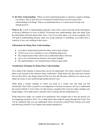**71. Be More Understanding** - When you don't understand people or situations, negative feelings can surface. That is why the Law of Attraction should always be used to gain more understanding in all things. When you understand more, it is much easier to keep your attitude positive.

**What to do:** A lack of understanding typically comes from a lack of having all the information or having a difference in views or beliefs. To become more understanding, open your mind. Find the information and learn about other views. Even if you don't agree, you can be accepting. This will lead to understanding because when you accept someone or something, you realize how it would be if you were walking in their shoes.

## **Affirmations for Being More Understanding:**

- I am able to understand myself and others with a deep wisdom
- I find it easy to see a situation or way of thinking objectively
- My compassionate nature allows me to understand others with ease
- I am a very tolerant person because I have great empathy
- My understanding is very broad because I keep an open mind

#### **Visualization Technique for Being More Understanding:**

First, think of the situation or person that you do not understand. Now allow yourself to become them or put yourself in the situation using visualization. Think about why they may have reacted the way they did or why things turned out the way they did. Become a detective in a sense as you replay the scene in your mind through another person's eyes.

Think about a similar situation in which you acted in a certain way and what you felt emotionally. Don't allow yourself to cast judgement or become accusatory. Just try to understand the reasons behind it. Even if they are bad reasons, recognize that everyone makes mistakes and things happen. Now think about a situation where someone did not understand you.

Think about how badly you wanted to be understood. Now imagine that is how the person you are imagining yourself as feels. Try to think about what might be going through their mind. You will be surprised what you can understand when you prevent yourself from closing your mind and allowing yourself to view things from another perspective.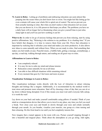**72. Learn to Relax** - Letting go of problems and embracing relaxation can seem almost like jumping into the ocean when you don't know how to swim. You might feel like letting go for even a minute will cause your whole life to spiral out of control. The nerves prevent you from actually learning to relax. But what you don't realize is that relaxation isn't an ocean that you can drown in, it is a life preserver that keeps you afloat. The problems you have on a daily basis will no longer feel so threatening when you give yourself time to just relax. Jump right in and you'll see just how soothing it can be!

What to do: In order to let go of anxious feelings that prevent you from relaxing, start by using positive affirmations. Say, "Relaxing is the solution to my problems. It is a healing time." If you have beliefs that disagree, it is time to remove them from your life. Prove that relaxation is important by realizing that it refreshes your mind and makes you more productive. It also allows new ideas to come naturally and without force. When you are ready to relax, find something that makes you feel totally at ease. Peaceful music, a bubble bath, getting a massage, aromatherapy, a spa day, a road trip, walking through nature, and reading are all great ways to relax.

## **Affirmations to Learn to Relax:**

- I am completely relaxed
- It is easy for me to calm my mind and release tension
- Relaxation comes naturally for me at all times
- I am able to face difficult situations while remaining relaxed
- Every moment that goes by I feel more and more at peace

# **Visualization Technique to Learn to Relax:**

This visualization technique works directly with the Law of Attraction to attract relaxing thoughts and feelings like a magnet. Additionally, it is recommended by the medical world to treat stress and promote more relaxation. Start off by choosing a time of day that you can sit or lay down without being disrupted. Even if this means you must wait until everyone falls asleep, it is worth the wait!

Lay down on your back and make yourself comfortable using pillows if needed. Think of your mind as a transportation device that allows you to travel to any place, any time you feel you need a break. Now close your eyes and breath in slowly through your nose and exhale normally through your mouth. As you breathe, visualize your muscles, one group at a time tensing and then releasing. Do this from head to toe until you feel completely tension-free.

Now imagine that a tunnel appears in the room with you. Picture yourself stepping through it into a beautiful and magical place. Think about the atmosphere as you go along. Add sights,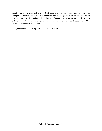sounds, sensations, taste, and smells. Don't leave anything out in your peaceful oasis. For example, if you're in a meadow full of blooming flowers and gentle, warm breezes, feel the air brush your skin, smell the delicate blend of flowery fragrances in the air and soak up the warmth of the sunshine. Listen to birds sing and taste a refreshing cup of your favorite beverage. Feel the relaxation take over all of your senses.

Now get creative and make up your own private paradise.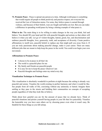**73. Promote Peace** - Peace is spread one person at a time. Although world peace is something that would require all people to think positively and practice respect, not everyone has received the Law of Attraction memo. For some, they believe peace is earned through violence, and because of their beliefs, wars are fought and battles are lost. But you can make a difference in spreading world peace by being a shining example of what peace is.

What to do: The main thing is to be willing to make changes in the way you think, feel and behave. You should fill your head and life with peaceful thoughts and actions so that others will believe it when you talk. Let go of violent thoughts, hatred, greed, lies, and discrimination and embrace peaceful thoughts, love, generosity, truth, and acceptance of diversity. Create positive affirmations to instill new, peaceful beliefs to replace any that might pull you away from it. If you are truly passionate about making peaceful change, make it your career. There are many different jobs that are meant to help keep the peace in the world. You could even begin your own movement.

#### **Affirmations to Promote Peace:**

- I choose to be at peace in all that I do
- The world is a peaceful place for me
- My family and friends are peaceful people
- It is easy for me to keep the peace wherever I am
- Peaceful thoughts and feelings enter my mind every day

#### **Visualization Technique to Promote Peace:**

This visualization is absolutely wonderful to perform at night because the setting is already very peaceful and serene. Visualize the world existing in perfect harmony and what it would be like. See people from all walks of life, coexisting without any animosity or hatred. Imagine them smiling as they pass in the streets and building their communities on concepts of accepting people regardless of what they look like or believe.

Think about how grateful you are for the amount of peace that we already have. Think of peaceful situations and picture yourself having people in your life that live peacefully. Visualize the honorable way you have seen others act by choosing peace even when it wasn't easy. Be thankful for these things as you fall asleep.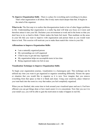**74. Improve Organization Skills** - There is a place for everything and everything in its place. That's what organization is all about. But it truly starts much deeper than that. It begins in the mind of the organizer.

**What to do:** The first step is to realize that disorganization leads to lots of other bigger problems in life. Understanding that organization is a really big deal will help you focus on it more and therefore attract it into your life. Declutter your environment at work and in the home so that you don't have to try so hard to think. Clutter makes the brain feel stuck. Then meditate on the areas in your life that you want to improve with organization and picture them as you would want them to look. This exercise will motivate you to make them match this vision in your life.

#### **Affirmations to Improve Organization Skills:**

- I am a naturally organized person
- My surroundings are well organized
- I find it easy to get and stay organized
- My organization helps me accomplish more in less time
- Being organized makes me feel at ease

#### **Visualization Technique to Improve Organization Skills:**

To begin your organization journey, visualization is a humongous part. This technique can be utilized any time you want to get organized or organize something differently. Picture the space or situation that you would like to organize as it is now. Now imagine that you remove everything from that space so that it is blank and clean. Using your creativity, place whatever you want back into the room in a way that makes you feel completely organized.

When you are finished, take some time to look around your visualized space and use it. Feel how efficient you can get things done or how much easier it is to concentrate. Now that you see it in your mind's eye, you will be able to gain the motivation to make it happen in real life.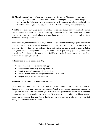**75. Make Someone's Day** - When you consciously use the Law of Attraction you become a completely better person. You smile more, have better thoughts, enjoy the small things and you also gain the ability to truly make someone's day. The energy you vibrate can literally be felt by those around you. How easy it is to make others feel amazing will surprise you.

**What to do:** People have unbelievable brains that can do more things than you think. The mirror neurons in our brains can stimulate emotions by observation alone. This means that you only have to feel positive around others to make them start feeling positive themselves. Your positivity is actually contagious!

Some great ways to make someone's day using this loophole is to stop worrying about their well being and act as if they are already having a perfect day. Even if things are not going well they will likely forget whatever was bothering them and feel an incredible positive energy. Rather than give someone a compliment directly, let them overhear you talking positively about them instead. It's funny but this trick makes them feel like you really do appreciate them, enough so that you are spreading the word!

#### **Affirmations to Make Someone's Day:**

- I enjoy making people around me happy
- I brighten everyone's day with my presence
- Negative people become positive around me
- I have a natural ability to bring out the happiness in others
- My positive personality is contagious

#### **Visualization Technique to Make Someone's Day:**

Close your eyes, think about the person that you want to spread positivity and happiness to. Imagine what you say and visualize their reaction. Watch as they appear happier and happier the longer you are with them. Picture that you part ways. You go about the rest of the day feeling content with your ability to cheer that person up. Now visualize them calling or writing a letter to thank you for making their day. Allow this to fill you with an even greater joy. Now use that extra joy to accomplish the real thing.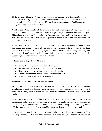**76. Enjoy Every Moment** - When you get caught up in your daily activities it can be easy to lose track of every moment you have. There is joy in every single moment and to miss that is a real shame. Imagine living your life enjoying every moment of it. Wouldn't that be great? Here's how you can do that.

What to do: Being mindful of the present is the single most important way to enjoy every moment. It doesn't matter if you are at work or at play, let your attention stay right with you. Think about what you are doing right now. Embrace your senses and how they make you feel. You know that feeling when you get so engrossed in what you are doing that everything else fades away for a while?

Allow yourself to experience this in everything you do whether it is planning, cleaning, having fun, eating, exercising, you name it! Not only should you focus on the now, you should think about it as if it is the most precious gift you will ever receive. If you are doing something that you particularly don't enjoy, envision the end results and know the reasons why you are doing it. Suddenly you will actually start to enjoy it a lot more.

## **Affirmations to Enjoy Every Moment:**

- I always find the good in every moment of my life
- Every second I am alive is a precious and wonderful gift
- I find it easy to enjoy my time no matter what I am doing
- Having a good time in every situation comes naturally to me
- I always commit myself to every moment fully

# **Visualization Technique to Enjoy Every Moment:**

The key to living in every moment is to learn how to be mindful. There is a special mindfulness visualization meditation technique designed especially for living in the moment and enjoying it fully. Start by sitting down in a comfortable position and taking in a few deep breathes to get into a calm state.

Close your eyes and simply allow whatever comes to your mind to take shape as your surroundings in the visualization. Continue to explore your mind's creation for anything new as your mind begins to create more and more detail. Take time to really notice each thing that is added to your environment and what it could mean to you. Do this meditation twice daily.

As you go about your daily routine, allow your mind to really soak in what is happening. This will help your visualization time more effective for you and give you a time to reflect back on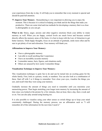your experiences from day to day. It will help you to remember that every moment is special and should be paid full attention.

**77. Improve Your Memory** - Remembering is very important in allowing you to enjoy the moment. This is because it is critical in helping you think and do the things that make you productive. There are some tried and true methods for developing a memory that is as close to photographic as you can get.

What to do: Stress, anger, anxiety and other negative emotions block your ability to retain memory as well. When you are happy, cortisol levels are much lower and because cortisol directly affects the memory areas of the brain, it is best to keep with the Law of Attraction to get better memory. Think happy thoughts, focus on an attitude of gratitude, smile more often and be sure to get plenty of rest and relaxation. Your memory will thank you.

## **Affirmations to Improve Your Memory:**

- I have a photographic memory
- I am able to recall anything that I experience
- I have an incredibly accurate memory
- I remember names, facts, figures, and situations easily
- Others are amazed by how easily I remember things

#### **Visualization Technique to Improve Your Memory:**

This visualization technique is quite fun to do and can be turned into an exciting game for the whole family. First, look at a picture, words, or numbers. You can also look at a combination of these. Start off with 3 or 4 things to remember. Now close your eyes, visualize the things you saw, and recall what they were using your memory.

Gradually increase the amount of things you need to remember until you maximise your memorizing power. Then begin stretching your longer term memory by increasing the amount of time since you looked at the picture by a few minutes, then an hour, then a day, then a week and so on. You can also play around using hearing too.

It is also possible to visualize using your other senses so switch things up to keep your mind consistently challenged. During the memory process, use an affirmation such as "I will remember all of this information for the next time I need it."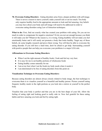**78. Overcome Eating Disorders** - Eating disorders arise from a deeper problem with self-image. There is never a reason to starve yourself, make yourself sick or eat too much. You body only requires healthy food in the appropriate amounts to look and feel amazing. Any beliefs you may have about your body and self-image will need to be addressed in order to overcome eating disorders using Law of Attraction techniques.

What to do: First, find out exactly what has created your problem with eating. Do you eat too much in order to compensate for negative emotions? Or do you not eat enough because you think it will make you fat? Whatever the reason is, it is wrong. Eating healthily will not make you feel emotionally better and it will surely not promote a body that looks healthy. Target any of those beliefs, do some lengthy research and prove them wrong. You will then be able to overcome the eating disorder. If you still have a hard time, don't be afraid to get help. Surrounding yourself with positive people that can help you overcome your problems is a major LOA rule.

#### **Affirmations to Overcome Eating Disorders:**

- When I eat the right amount of healthy foods, I look and feel my very best.
- It is easy for me to eat healthy portions of wholesome foods
- Eating healthy comes naturally for me
- I am at my best when I eat the foods my body needs when it needs it
- I am determined to be free of eating disorders from this point on

#### **Visualization Technique to Overcome Eating Disorders:**

Because eating disorders are almost always closely related to body image, the best technique to overcome them is to visualize yourself as a beautiful and healthy person. Picture yourself eating frequent, healthy meals in the right portions as you look into a mirror at yourself in the perfect body.

Visualize that your body is perfect and that you are in the best shape of your life. Allow the feeling of eating right and looking good to really sink in. Now feel grateful for these eating habits and how amazing you look and feel by eating right.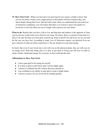**79. Move Past Grief** - When you feel sad or are grieving for any reason, it helps to know that you are not alone. Nearly every single person on this planet will lose someone they care about deeply during their lives. But the truth is that when you understand the universal Law of Attraction completely, you will realize that there is no reason to grieve the death of a loved one or feel sad when you are no longer with a person you care about.

What to do: Realize that you have a life to live and that pain and sadness is the opposite of what your loved one would want you to feel for very long. Of course, there is a period of time that it is okay to be sad, but then you must pick yourself up, brush yourself off, and move on for you and for the one you have lost. According to many Law of Attraction experts, our physical lives are just a fraction of what our entire experience is. We are all part of a universal energy.

So know that even if your loved one is not with you on the physical plane, they are with you on an energy level. With that being said, it is okay to get back to living your life now in order to create a better vibrational energy for everyone, in this world and the next.

#### **Affirmations to Move Past Grief:**

- I move past grief to be strong for myself
- It is okay to grieve and I know that I will be happy again
- I choose to celebrate the life of those that have passed on
- I am confident in my ability to heal and to create a bright future
- I choose to grieve for my loved one by healing quickly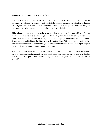#### **Visualization Technique to Move Past Grief:**

Grieving is an individual process for each person. There are no two people who grieve in exactly the same way. This is why it can be difficult to help pinpoint a specific visualization technique for everyone. Use these ideas to come up with a visualization technique that will work for your own special grieving process and that matches up with your beliefs.

Think about the person you are grieving over as if they were still in the room with you. Talk to them as if they were able to listen to you and try to imagine what they are saying in response. Your memories of them will help you keep them alive through speaking with them in your mind. Give them love and tell them the things you wish you told them. At first, you will be sad but after several sessions of these visualizations, you will begin to realize that you still have a part of your loved one inside of you and noone can take that away.

Another wonderful visualization idea is to visualize yourself being the strong person you want to be once you move past the pain of the loss. Think about how much the person you love that has passed would want you to live your life happy and free of the grief. Do it for them as well as yourself.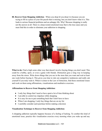**80. Recover from Shopping Addiction** - When you shop til you drop it is because you are trying to fill in a piece of your life puzzle that is missing, but you don't know what it is. This leads to serious financial problems and an unhappy life. Why? Because shopping is really not the answer at all. There is a deep rooted emotional issue that is the true cause and you must find this in order to eliminate your addiction to shopping.



**What to do:** Find a high some other way that doesn't involve buying things you don't need. This could be a hobby, sport, or even a game with friends. Distraction goes a long way in keeping away from the stores. Write down things that you see in the store that you want and wait at least one week before buying it. This gives you time to rule out compulsive tendencies and really ask yourself if you truly want it. When it comes to the Law of Attraction, find those emotional issues and work on them using affirmations, visualizations and meditative exercises.

#### **Affirmations to Recover from Shopping Addiction:**

- I only buy things that I need or have spent a lot of time thinking about
- I am able to control my impulses while shopping
- It is easy for me to put something back that I don't have to have
- When I am shopping, I only buy things that are on my list
- I carefully consider each purchase before making a decision

#### **Visualization Technique to Recover from Shopping Addiction:**

A shopping addiction typically happens because of a feeling of lacking. To combat this kind of emotional issue, practice this visualization exercise every morning when you wake up and any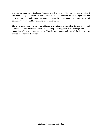time you are going out of the house. Visualize your life and all of the many things that makes it so wonderful. Try not to focus on your material possessions so much, but on those you love and the wonderful opportunities that have come into your life. Think about quality time you spend doing what you love and how amazing and content you are.

The key to combatting your shopping addiction is to realize how great life is for you already and to understand how no amount of stuff can ever buy your happiness. It is the things that money cannot buy which make us truly happy. Visualize these things and you will be less likely to splurge on things you don't need.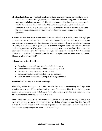**81. Stop Road Rage** - Are you the type of driver that is constantly feeling uncontrollable anger towards other drivers? Though you may not think you are in the wrong, most of the times road rage isn't helping anyone at all. The other drivers certainly don't learn any lessons and usually it's only your passengers that get to hear your anger fueled yells. So it's really important to learn to let go of road rage and understand that there will be those drivers and there is no reason to get yourself in a negative vibrational energy on account of their ignorance.

What to do: The first step is to remember that your safety is way more important than trying to get a point across to deaf ears. When the adrenaline is pumping and you feel out of control, pull over and park to take some nice deep breathes. When the offensive driver is out of site, it is much easier to get the incident out of your mind. Realize that everyone makes mistakes and that they are learning experiences. What you thought was an aggressive act of another driver could have been just a mistake. Learn to forgive so that you can move on and feel better. You choose whether another driver that you will probably never see again can have power over your mood. Choose wisely and brush it off.

#### **Affirmations to Stop Road Rage:**

- I remain calm and collected when I am behind the wheel
- Other drivers may do ignorant things, but I am above that
- I am able to control my temper while driving
- I am understanding of the mistakes other drivers make
- I will not allow anyone's bad driving to affect my happiness

#### **Visualization Techniques to Stop Road Rage:**

Visualizing while driving is a bad idea. So the first step to overcoming road rage with visualization is to get off the road and park your car. Chances are, this will already help you to calm down and remove some of that anger. Now, take some deep breathes and close your eyes. Just make sure that you have your car in park first!

Think about your happy place. This could be a scenario where you are the only driver on the road. You are free to move about without the restriction of other drivers. You feel free and relaxed. Allow this image to make you feel at peace and let a smile come to your face. After a few minutes, open your eyes and you should be good to go.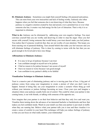**82. Eliminate Jealousy** - Sometimes you might find yourself feeling a bit paranoid and jealous. This can stem from your own insecurities and lack of feeling worthy. Jealously also often happens when you feel that someone else is not deserving of what they have. Because jealousy is a negative emotion created by fear and anxiety over a potential loss or over what someone else has, it creates very bad energy for the Law of Attraction. That is why it is so important to eliminate.

What to do: Jealousy can be eliminated by addressing your own negative feelings. You must convince yourself that you are worthy and deserving in order to stop the anger. Once you feel secure with yourself, losing someone that would betray your trust doesn't make you feel jealous. You realize that if someone would do that, they are not worthy of your attention. This keeps you from reacting out of paranoid thinking. Turn around beliefs that make you feel insecure and you will eliminate feelings of jealousy. This is done by coming to terms with the fact that you are good enough to be loved and to have nice things.

#### **Affirmations to Eliminate Jealousy:**

- It is easy to let go of jealousy because I can trust
- I am confident enough in myself not to be jealous
- I find no reason to be jealous because I am secure of myself
- I have no reason to worry because I am good enough
- I am confident in my partner's ability to be faithful

#### **Visualization Technique to Eliminate Jealousy:**

Trust is a massive part of eliminating jealousy and so is moving past fear of loss. A big part of jealousy comes from using your imagination to create a picture of what you don't want to happen. Instead of doing that, use your imagination to create a scenario where thing go well without your intrusion or jealous feelings becoming an issue. Close your eyes and imagine a situation where your jealousy usually boils out of control. This could be when your partner is late coming home, is out with friends, or talking with someone of the opposite sex.

Now imagine that your partner is on their best behavior and that they only love and want you. Visualize them turning down the advances of an interested bachelor or bachelorette and how that makes you feel confident inside. Watch in your mind's eye that your partner is just stuck in traffic when they are running late. Believe what your partner tells you is true and then visualize it to create a sense of comfort in your heart.This technique will help you reduce feelings of jealousy so that you can focus on what really matters..your relationship!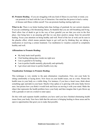**83. Promote Healing** - If you are struggling with any kind of illness in your body or mind, you can promote it to heal with the Law of Attraction. Our mind has the power to heal a variety of disease and illness within ourself. You can promote healing starting right now.

**What to do:** There is no better healing balm than feelings of gratitude for our current situation. If you are combatting a life threatening illness, be thankful that you are still breathing and living. Don't allow fear of death to get in the way of how grateful you are that you exist in the first place. Just being here is an amazing gift that we can draw positive energy from for powerful healing. Focus your attention on being healthy and well. Proof of the law at work can be seen in the placebo effect, which means patients begin to get well just by thinking they are taking a medication or receiving a certain treatment. Use meditation to visualize yourself as completely healthy and well.

#### **Affirmations to Promote Healing:**

- My body heals itself quickly
- I feel healing taking place inside me right now
- I am so grateful to be healing
- I am in perfect health mentally, physically and spiritually
- I get closer and closer to perfect health every day

#### **Visualization Technique to Promote Healing:**

This technique is very similar to the pain elimination visualization. First, rest your body by sitting comfortably or laying down. Now focus on your health issues, one at a time. Picture the health issue in your body as a visible thing. For instance, if you have a heart issue, think about something ugly and dark in your heart. Maybe it has spikes or is glowing with some funky brown aura. Just picture how you think it would look and focus on moving it with your mind. Make the object that represents the health problem leave your body and then imagine that it gets blown up with a grenade or sent on a rocket to outer space.

Do this with each separate health condition you have until you have finished eliminating health issues from your body. Now have faith that the universe is bringing healing to those areas and be open to opportunities that greet you to make that possible.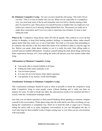**84. Eliminate Compulsive Lying** - I'm sure you have heard the old saying, "The truth will set you free." This is so true no matter who you are. When you lie, especially in a compulsive way, you must keep track of the lie and remember who you lied to, thereby putting a little part of yourself in a jail. These pieces of yourself become so hidden that you might not even realize how much of you is missing, hiding behind these lies. The person you really are is under there somewhere and if you ever want to experience true freedom, it's time to start telling the truth.

What to do: Compulsive lying always starts off with an agenda. This could be to cover up bad actions or thoughts, to keep from hurting another's feelings, to manipulate others, make oneself appear better than they really are, or out of bad habit. The truth is a lot easier than pretending to be someone else and this is the first belief that needs to be instilled in order to stop the urge for lies. Before you speak, think about whether or not it is really the truth. Start telling truths to yourself and use truthful affirmations. Visualize yourself telling the truth about things and having better experiences because of it. Soon telling the truth will become your first instinct rather than lying.

## **Affirmations to Eliminate Compulsive Lying:**

- I am easily able to remain truthful at all times
- Telling the truth comes naturally to me
- I am an honest person
- It is easy for me to be honest when asked a question
- I am genuine in my actions, words and thoughts

# **Visualization Technique to Eliminate Compulsive Lying:**

This visualization technique should be used as often as possible to break the compulsive lying habit. Compulsive lying to some people comes without thinking and is really not done on purpose for some. In order to break any habit, the subconscious needs to be retrained and this is exactly what this visualization technique entails.

Any time you are asked a question or find yourself thinking about speaking to someone, imagine yourself in the conversation. Think about using only the truth and be sure that everything you say during the visualization is completely true. Don't try to bend the truth or sugar coat it. Practice telling the entire truth in as many imaginary conversations as you can throughout the day. It won't take long for these truthful words to begin coming easy to you when you are conversations with real people.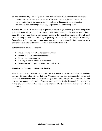**85. Prevent Infidelity** - Infidelity is not completely avoidable 100% of the time because you cannot have control over your partner all of the time. They may just be a cheater. But you can prevent infidelity in your marriage if you learn to think positively and keep the relationship from becoming something your partner will want to stray from.

**What to do:** The most effective way to prevent infidelity in your marriage is to be completely and totally open with your feelings, emotions and needs and welcoming your partner to do the same. Never keep secrets from your spouse, no matter how small they seem. Most of all, don't focus on being worried about cheating or give any of your attention to thoughts of infidelity. Remember that the more you focus on something, the more you attract it. So focus on having a partner that is faithful and truthful so that you continue to attract that.

#### **Affirmations to Prevent Infidelity:**

- I have a loving, faithful, and supportive partner
- My husband/wife is devoted to me fully
- I am enough for my partner
- It is easy to remain faithful to my partner
- My partner and I respect each other too much to cheat

#### **Visualization Technique to Prevent Infidelity:**

Visualize you and your partner many years from now. Focus on the love and adoration you both still have for each other after all that time. Visualize that you both are completely honest and open with one anothers and feel the trust that you both share. Imagine the fulfillment that you provide your spouse in all aspects of the relationship and that feeling is mutual. Believe that this relationship will remain just as you imagine it forever. The devotion you have for each other is unwavering.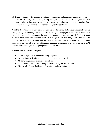**86. Learn to Forgive** - Holding on to feelings of resentment and anger can significantly lower your positive energy, providing a pathway for negativity to enter your life. Forgiveness is the power to let go of the negative emotions surrounding the situation so that you can close that pathway for negativity and open up the floodgates for positivity.

What to do: When you forgive someone you are not dismissing that it never happened, you are simply letting go of the negative emotions surrounding it. Though you can still learn the valuable lesson that they taught you to never be hurt in the same way again, you can still forgive. It is not for the person that needs forgiving at all. It is for your own well-being. Use affirmations to eliminate these negative feelings and shift your focus away from what happened. Think only about restoring yourself to a state of happiness. A great affirmation to use for forgiveness is, "I choose to feel good again by forgiving those that have hurt me."

#### **Affirmations to Learn to Forgive:**

- I easily forgive others and others easily forgive me
- I forgive because it allows me to feel better and move forward
- My forgiving attitude is reflected back to me
- I choose to forgive myself for the past so that I can grow for the future
- I forgive all of those that have made mistakes and release the past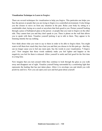#### **Visualization Technique to Learn to Forgive:**

There are several techniques for visualization to help you forgive. This particular one helps you face the person or people that you are trying to forgive in a controlled environment. It also brings you the closure to move on from any situation in the past. Relax your body by sitting in a comfortable chair, laying on a couch or anywhere that feels good to you. Picture yourself looking through a piece of bulletproof glass at the person or people that you want to forgive on the other side. They cannot hurt you and they don't speak to you. There is phone on the wall that allows you to speak with them. Visualize yourself picking it up to talk to them. They appear to be listening intently but say nothing.

Now think about what you want to say to them in order to be able to forgive them. You might want to tell them how much they have hurt you and that you choose to let this pain go - that they can no longer cause you to feel any more pain. Say the words in your visualization, "I forgive you." Now imagine that those words suddenly make you feel lighter and happier as the negativity you feel for them is released. Allow yourself to smile and feel good for the first time in a long time.

Now imagine that you turn around while they continue to look through the glass as you walk away and disappear out of sight. Visualize yourself being surrounded by a comforting light that represents the healing that has just taken place. Allow it to envelope you and shield you with positivity and love. Now you can open your eyes and feel great about yourself.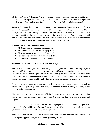**87. Have a Positive Self-Image** - The way you see yourself determines what you do in life, how others perceive you, and how happy you are. It is very important to see yourself in a positive light rather than continuously focusing on your flaws and feeling bad about yourself.

**What to do:** Immediately stop thinking about things you cannot change about yourself. Now start thinking about things you can change and know that you can be the person you want to be. Give yourself credit for wanting to improve.Make a list of these characteristics you want to have and create positive affirmations stating them as facts about yourself. Your subconscious will absorb these words and soon you will be everything you want to be. If you believe something to be true that is preventing you from loving yourself, prove that belief wrong.

## **Affirmations to Have a Positive Self-Image:**

- My beauty shows on both the inside and out
- Everyone who knows me thinks highly of me
- I have an attractive personality and good looks
- I am accepted for who I am by myself and others
- I am fully and completely confident in myself

## **Visualization Technique to Have a Positive Self-Image:**

This visualization helps you realize the full potential of yourself and eliminates any negative focus on self. Every person is unique and special with gifts that truly matter. Think about that as you find a nice comfortable place to sit and then close your eyes. Take in some deep, slow breaths and feel your body being nourished by the oxygen you inhale. Visualize that with every inhale, your body becomes brighter and with every exhale, the darkness is taken away.

Now think about the color red as an orb of light. It represents the physical beauty of your body in action. Will it to grow brighter and bolder in your mind and imagine it coming closer to you and being absorbed into your body.

Picture the color orange in the say orb of light. It represents your creativity and devotion that makes you so special. Imagine that it too is absorbed into your body as it shines brighter and brighter.

Now think about the color yellow as the next orb of light you see. This represents your positivity towards life and the ability to make your dreams come true. Watch it shine bright as it moves into your body as well. Think about how powerful you feel.

Visualize the next orb of light as green. It represents your love and emotions. Think about it as a dose of pure happiness and peace as it enters your body as well.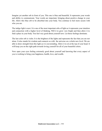Imagine yet another orb in front of you. This one is blue and beautiful. It represents your words and ability to communicate. Your words are important, bringing about positive change in your life. Allow this blue orb to be absorbed into your body. You continue to feel more secure with who you are.

The indigo light is next. It is one of the most important orbs of light as it represents your intuition and connection with a higher level of thinking. Will it to grow very bright and then allow it to find a place in your body. You feel very good about yourself now. Let those feelings dominate.

The last color orb is violet. It is the brightest of the lights and represents the fact that you are not alone. It also stands for wisdom and connects us with the universe on a whole new level. We are able to draw strength from this light as it is neverending. Allow it to sit at the top of your head. It will keep you on the right path towards loving yourself for all of your beautiful colors.

Now open your eyes feeling extremely good about yourself and knowing that every aspect of you is working to bring your happiness, health, love, and wealth.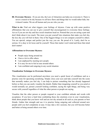**88. Overcome Shyness** - If you are shy, the Law of Attraction can help you overcome it. There is never a reason to be shy because we all have flaws and things that we would rather hide, but it doesn't matter. We are all human and you are who you are.

What to do: Find out what triggers your feelings of shyness. Come up with some positive affirmations that you can use to give yourself that encouragement to overcome these feelings. Act as if you are not shy and face social situations head on. Pretend that you are acting a part and don't think about it too much. The more you put yourself into situations that make you feel shy, the less shy you will feel in them. One of the biggest things is to not compare yourself to others. You are special, unique and perfect just the way you are. Be proud of it. Lastly, don't be so serious. It is okay to let loose and be yourself. Those that matter won't mind and those that mind don't matter!

#### **Affirmations to Overcome Shyness:**

- People enjoy being around me
- I have a lot to offer others
- I am unphased by meeting new people
- It is easy for me to feel at ease around others
- I am confident and outgoing in any social situation

## **Visualization Technique to Overcome Shyness:**

This visualization can be performed anywhere you need a quick boost of confidence and as a practice zone for upcoming socializing. Simply close your eyes and take yourself into the scene that normally makes you feel shy. I can help to picture something that has already happened before so that you can easily visualize the details. Rather than imagining yourself as you acted or would normally act, picture yourself looking confident, saying the right things, and being very secure with yourself regardless of what the other person or people are saying.

Visualize that the other person or people respond to your confident attitude and words with acceptance. If you have a hard time combatting those shy emotions even in your visualization, think about people that you know well and are not shy around at all such as your parents or best friends. Gather that strength and use it to practice being outgoing and collected around new people until you feel completely at ease. It may take a few sessions, but you will become better and better at being around others over time.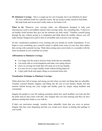**89. Eliminate Cravings** - This is a tough one for a lot of people, but it can definitely be done! We crave different foods for a specific reason. We are trying to make ourselves feel better. But junk foods and sweets don't really make us feel better at all.

**What to do:** Whenever your cravings strike, use affirmations designed to help your subconscious want to eat healthier options when cravings strike. Say something like, "I choose to eat healthy foods because they give me the nutrients my body needs." Visualize yourself going through the day without giving in to temptation and think about the healthy choices you will make instead. Imagine how good it feels to eat healthy and overcome your cravings.

Do this visualization meditation every morning and you should see results immediately. If you begin to crave something, give yourself a pinch or splash some water on your face, then replace that craving with a pretend craving. Think about eating some carrot sticks or a cucumber with the same excitement as you would the ice-cream.

## **Affirmations to Eliminate Cravings:**

- I no longer feel the need to feed my body foods that are unhealthy
- I am easily able to avoid temptation and make wise eating choices
- I have no cravings for foods that will cause me to be less healthy
- It is easy for me to enjoy healthy foods without feeling deprived
- I enjoy junk foods and sugary things as occasional treats only

# **Visualization Technique to Eliminate Cravings:**

Think about how full of energy and strong you feel when you don't eat things that are unhealthy. Visualize yourself skinnier, happier, and fitting into the size of your dreams. Really feel that emotion behind having met your weight and healthy goals by simply eating healthier and consistently.

Imagine the people in your life making comments about how much healthier you look and feel the pride and joy that comes with that. Also imagine that you look amazing and that you have admirers turning their heads as you walk by.

If that's not motivation enough, visualize those unhealthy foods that you crave as poison. Imagine that they taste disgusting and that you would never dream of putting that garbage in your mouth.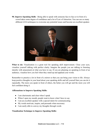**90. Improve Speaking Skills** - Being able to speak with someone face to face or in front of a crowd takes some degree of confidence and a lot of Law of Attraction. You can use so many different LOA techniques to overcome any potential issues and become an excellent speaker.



**What to do:** Visualization is a great tool for speaking skill improvement. Close your eyes, visualize yourself talking with perfect clarity. Imagine the people you are talking to listening intently with amazement at what you have to say. If you are planning on speaking in front of an audience, visualize how you feel when they stand up and applaud your words.

Remember to practice a lot in front of a mirror so that you can bring your vision to life. Always keep positive thoughts in your head about your speaking skills and tell yourself that you can do it repeatedly. The more you speak in front of others, the better you will get and the more you will feel confident doing it.

## **Affirmations to Improve Speaking Skills:**

- I am charismatic and clear when I speak
- When I open my mouth, people want to know what I have to say
- I am an excellent speaker with a special talent for communicating
- My words motivate, inspire, and persuade when necessary
- I am easily able to convey my thoughts through words

## **Visualization Technique to Improve Speaking Skills:**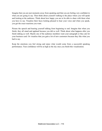Imagine that you are just moments away from speaking and that you are feeling very confident in what you are going to say. Then think about yourself walking to the place where you will speak and looking at the audience. Think about how happy you are to be able to share with them what you have to say. Visualize their faces looking pleased to hear your voice and when you speak, you get the exact reactions you want.

Picture the speech and hearing yourself talking from beginning to end. Imagine that when you finish, they all stand and applaud because you did so well. Think about what happens after you finish talking as well. Maybe one of the audience members want your autograph or they ask for your business card. Or visualize that you gain a lot of new customers because they like what you had to say.

Keep the emotions you feel strong and enjoy what would come from a successful speaking performance. Your confidence will be as high as the sky once you finish this visualization.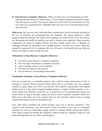**91. Stop Obsessive Compulsive Behavior** - When you behave in a way that disrupts you from enjoying life fully because of obsessiveness, you are actually blocking some positive energy from flowing into your life. You become obsessed over the what ifs in life and that is no way to live the Law of Attraction life. Thankfully, there are some ways to stop this behavior and move forward.

**What to do:** This one may take a little help from a professional, but the techniques and ideas of the Law of Attraction are incorporated into the treatment. The typical approach is called cognitive behavioral therapy. This helps you by teaching your mind to learn to see the world as less threatening and instills the qualities you need to become more optimistic. Many obsessive compulsions are based on negative beliefs and these deeply rooted ways of thinking are challenged through the retraining of your thought patterns. You may have success doing this yourself by using the N.I.C.E. technique. But you will need to first identify the ways that you obsess over things in order to break the cycle.

## **Affirmations to Stop Obsessive Compulsive Behavior:**

- I am able to resist obsessive compulsive tendencies
- I have no urge to do obsessive compulsive activities
- I am in complete control over my impulses
- OCD does not affect my life anymore
- I do not obsessive over anything unnecessarily

## **Visualization Technique to Stop Obsessive Compulsive Behavior:**

First, get yourself into a comfortable position. This could be sitting, laying down in bed, or relaxing in a recliner. Picture yourself feeling totally calm as you clothes your eyes. Imagine yourself in a place where your OCD is not relevant. This could be a special place with magical qualities such as a fairy land of magical healing creatures, a tropical vacation paradise, or in a sterile, blank room. Whatever works for you. It doesn't have to be something that anyone else would choose as long as the place makes you feel no need to perform compulsive behaviors. Relax here in this place for a few minutes until you feel extremely relaxed. Focus on being carefree and without concern for anything but this.

Now, think about something that would typically cause you to become compulsive. View yourself in the experience, only don't watch it from your point of view, but as a bystander watching. Be your own cheerleader, urging yourself to continue feeling relaxed and carefree. Then watch yourself go through the experience without doing the compulsive behavior. Feel proud and happy that you were able to get through it.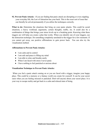**92. Prevent Panic Attacks** - If you are finding that panic attack are disrupting or even crippling your everyday life, the Law of Attraction has your back. This is the exact sort of issue that can literally be solved permanently if you utilize the techniques correctly.

**What to do:** Determine the situations that bring on your panic attacks. This could be social situations, a heavy workload, arguments, certain thoughts, traffic, etc. It could also be a combination of things that brings your stress levels up to a breaking point. Knowing what these triggers are will help you create a plan that works. When you identify one of your triggers, use the distraction technique. Do something completely unrelated to the trigger for a few moments. If you cannot get away, use positive affirmations to gain power back. You can also try the visualization method.

#### **Affirmations to Prevent Panic Attacks:**

- I am calm and in control
- I am safe and peace is filling my mind
- I am able to relax and breathe easily
- When I am faced with stress I never panic
- I have nothing to feel panicked or anxious about

## **Visualization Technique to Prevent Panic Attacks:**

 When you feel a panic attack coming on or you are faced with a trigger, imagine your happy place. This could be a memory or a fantasy world you create for yourself. It can be your secret oasis when you are feeling stressed or panicked. Don't tell anyone about your secret place. It is your way to escape reality and get back to a calm and relaxed state of being.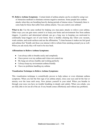**93. Relieve Asthma Symptoms** - Certain kinds of asthma attacks can be avoided by using Law of Attraction methods to eliminate extreme negative emotions. Some people have asthma attacks when they are breathing heavily during periods of intense stress. Fortunately there is some help for those that suffer from asthma attacks. You can control your asthma!

What to do: Use the same method for helping you stop panic attacks to relieve your asthma. Other ways you can gain more control is to keep your home and environment free from asthma triggers. A positive and determined attitude can go a long way in keeping you motivated to continually keep triggers out of your home. Have a healthy cleaning day where you vacuum, wash curtains, and scrub surfaces and use the affirmation, "I clean because it makes me feel good and asthma-free" Kindly ask those you interact with to refrain from smoking around you as well. When you ask nicely they will want to be nice back.

#### **Affirmations to Relieve Asthma Symptoms:**

- I am always able to breathe easily and completely
- I have power over my asthma and it does not control me
- My lungs are always healthy and working perfectly
- I always keep my environment asthma friendly
- I have no problems handling my asthma

## **Visualization Technique to Relieve Asthma Symptoms:**

This visualization technique is scientifically proven to help reduce or even eliminate asthma symptoms. When you feel the first sign of an asthma attack, close your eyes and let the fear or anxiety over the issue melt away. Now picture yourself in your mind. When you breathe in through your nose you have no trouble breathing in deeply and calmly. When you exhale, you are fully able to let out all of the air. Every breath comes effortlessly and without any problems.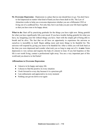**94. Overcome Depression** - Depression is a place that no one should have to go. You don't have to feel depressed no matter what kind of hand you have been dealt in life. The Law of Attraction works to help you overcome depression whether you are a billionaire CEO or living out of a cardboard box. Not only that, but it can help you put your life back together so that you have tons to be happy about.

What to do: Start off by practicing gratitude for the things you have right now. Being grateful for what you have significantly lifts your mood. If you have trouble feeling grateful for what you have, try imagining your life without things you have. Start with the simple gift of being able to breath and be alive. The fact that we all have an opportunity to experience the universe as ourselves is incredible in itself. Begin adding more and more things to be thankful for. The universe will respond by giving you more to be thankful for. After a while you will look back at the time you were depressed and wonder what took you so long to snap out of it. **A note:** Some depression is very serious and requires the help of a doctor to treat. If you feel hopeless or like life is not worth living, contact a professional right away. You are a very important part of this world and you deserve to feel better!

#### **Affirmations to Overcome Depression:**

- I deserve to be happy and enjoy life
- I choose to find the positive in every situation
- I look forward to every day because it is a precious gift
- I am enthusiastic and appreciative in every moment
- Nothing can get me down ever again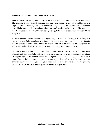#### **Visualization Technique to Overcome Depression:**

Think of a place or activity that brings you great satisfaction and makes you feel really happy. This could be anything from floating in a pool on a warm summer afternoon, to sledding down a slope on a snowy morning. Whatever works best for you should be your special visualization oasis. Find a place that is peaceful and where you won't be disturbed for a while. The best place for a lot of people is in bed right before going to sleep, but you can choose your own special time and place.

To begin, get comfortable and close your eyes, imagine yourself in that happy place doing that happy thing and feel the smile on your face. Look around and soak up the sights. Smell the air, feel the things you touch, and listen to the sounds. You can even include taste. Incorporate all your senses and really allow the imaginary scene to envelop you in a cocoon of joy.

Now allow your mind to wander. If something stressful enters your mind, make it into something physical such as a snowball, balloon, rock or stick. Let the stress go symbolically by letting casting the object away. Watch it disappear out of your view. You know that you will never see it again. Spend a little more time in your imaginary happy place and when you're ready, you can end the visualization. When you open your eyes you will feel refreshed and happy. If depressing feelings arise, use the visualization again as many times as you need.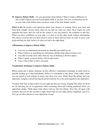**95. Improve Debate Skills** - Are you passionate about debates? Want to make a difference in this world? Chances are you'll need debate skills to succeed. The Law of Attraction can be on your side of the debate when you know some of the best debater secrets.

What to do: Be positive and optimistic about your chances of winning. Know your facts and keep them straight. Always mean what you say and say what you mean. Have respect for your opponent but know that you will be the winner if you stay positive. Be confident in that fact. When you have confidence on your side, it is okay to let the other speak without interrupting. This shows everyone that you don't need to resort to those kind of tactics in order to prove your point and that you fully believe in what you feel is the right thing.

## **Affirmations to Improve Debate Skills:**

- I am easy to understand and people are naturally persuaded by me
- When I believe in something my charismatic abilities help others to believe too
- I am able to easily show others that my way of thinking is the best option
- When I speak, everyone listens with an open mind
- I have what it takes to prove my point

## **Visualization Technique to Improve Debate Skills:**

Before going into a debate situation, do this effective visualization technique as many times as possible leading up to and immediately before it is scheduled to take place. Find a place where you can spend several minutes in peace and close your eyes. Think about the debate and your opponents. Imagine yourself having the perfect rhetoric for every point argued by the opposition.

Visualize their face as they realize you are right and they are wrong. Imagine that others involved are all cheering you on in agreement while remaining silent and looking perplexed when you opposition speaks. Think about what others will say after the debate. How they all agree with certainty that you are the one that is right. Know that you are right and be completely sure of it. Now go out there and prove your opposition wrong!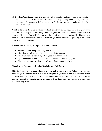**96. Develop Discipline and Self-Control** - The art of discipline and self-control is a wonderful skill to have. It makes life so much easier when you are practicing control over your actions and emotional responses to different situations. The Law of Attraction can be beneficial for this in a major way.

What to do: Find the areas in which you think or act that affects your life in a negative way. Don't let denial stop you from being truthful to yourself. When you identify them, create a positive affirmation that will help you stop the negative thinking or action. Do this until you address all areas that need improvement. Visualize your life without feeling the urge to do any of those destructive behaviors.

## **Affirmations to Develop Discipline and Self-Control:**

- When I focus on doing something, I do it
- My willpower allows me to be in total control of my actions
- I am always disciplined in my actions, decisions and thinking
- By practicing self-control, I am able to move steadily towards my goals
- I become more successful every day because I am in control of myself

## **Visualization Technique to Develop Discipline and Self-Control:**

This visualization can be done wherever you are and whenever you are feeling out of control. Visualize yourself in the situation that lacks discipline in your life. Rather than how you would normally react, picture yourself practicing impeccable self-control. Imagine that you are in complete control of yourself, feeling no urges to do anything but what you know is right. You feel completely calm.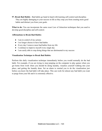**97. Break Bad Habits** - Bad habits go hand in hand with learning self-control and discipline. They are highly damaging to your success in life as they stop you from creating more good habits and distract you from your goals.

What to do: You can incorporate the same exact Law of Attraction techniques that you used to develop good discipline and self-control.

## **Affirmations to Break Bad Habits:**

- I am in control of my actions
- I no longer choose to have bad habits
- Every day I remove more bad habits from my life
- I continue to improve myself every single day
- I am easily able to stop doing things that are detrimental to my success

## **Visualization Technique to Break Bad Habits:**

Perform this daily visualization technique immediately before you would normally do the bad habit. For example, if you are trying to stop jumping on the computer to play games when you get home from work when you should be doing laundry, visualize yourself walking into your place, and getting the laundry done. Set an alarm to remind you to do the visualization just before you know the bad habit will take place. This can work for almost any bad habit you want to purge from your life and it is extremely effective.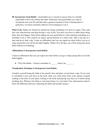**98. Incorporate Good Habits** - Good habits are so crucial to success that it is virtually impossible to have one without the other. Determine what good habits you want to incorporate into your life and then take a generous amount of time in honing them to perfection. Use these extremely effective LOA techniques to do it.

What to do: Habits are formed by repetitively doing something over and over again. They seep into your subconscious and then become a way of life. You don't even have to think about doing them, they just happen. Start off by adding one new good habit at a time and keep something as a reminder to do it. This could be an alarm, special bracelet or a sticky note. Take it one day at a time and never skip a day. Create an affirmation that you can repeat ten times before you go to sleep saying that you will do the habit happily. Within 30 to 60 days you will be doing this good habit without even thinking.

## **Affirmations to Incorporate Good Habits:**

Create an affirmation that you can repeat ten times before you go to sleep saying that you do the habit happily.

• Fill in the blanks - I always remember to when I am  $\blacksquare$ 

## **Visualization Technique to Incorporate Good Habits**:

Visualize yourself doing the habit at the specific time and place several times a day. If you want to remember to put your keys on the hook when you come home from work, picture yourself walking in the door of your place, looking at the hook and placing your keys on it before doing anything else. Whatever the thing is, just keep doing it in your head. Your subconscious doesn't know the difference between visualizing the habit and actually doing it.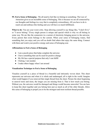**99. Feel a Sense of Belonging** - We all need to feel like we belong to something. The Law of Attraction gives us an incredible sense of belonging. This is because we are all connected by our thoughts and feelings in a way that is completely extraordinary. All you have to do is reach out and embrace this feeling and you will have so much fulfillment.

What to do: You are your worst critic. Stop allowing yourself to say things like, "I don't fit it," or "I never belong." Every single person is unique and special which is why we all belong in some way. We are like the connectors in a current of electricity bringing power to the universe. Every person that exists belongs to the current. When your sense of belonging wanes, find something that you enjoy and you will no doubt find others that enjoy the same thing. Connect with them and watch your positive energy and sense of belonging soar.

#### **Affirmations to Feel a Sense of Belonging**

- I am a puzzle piece that helps complete the universe
- I have something that can be used for positive change
- My life has a special purpose that only I can fulfill
- I belong. I am needed.
- I make others happy when I am around

## **Visualization Technique to Feel a Sense of Belonging**

Visualize yourself as a piece of thread in a beautiful and intricately woven sheet. This sheet represents our universe and when it is whole and undamaged, all is right in the world. Imagine what would happen if you removed that single thread from the sheet. Picture the sheet beginning to unravel more and more, the longer you are missing from it. That is how much you belong. Without you, the universe would be damaged and things would become unraveled. You are here to keep this sheet together and you belong here just as much as all of the other threads. Allow this sense of belonging to propel you to be the strongest and most resilient thread possible.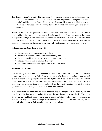**100. Discover Your True Self** - The great thing about the Law of Attraction is that it allows you to have the tools to discover who it is you really are and be proud of it. Everyone starts out as a little pebble, an uncut diamond in the rough. Every positive thought and feeling shaves off a piece of that pebble until a dazzling diamond is formed. That dazzling diamond is your true self!

**What to do:** The best practice for discovering your true self is meditation. Get into a comfortable sitting position or lay down. Breathe deeply and close your eyes. Allow your thoughts and feelings to flow freely without judgement for at least 15 minutes each day and write down the most important thing that comes to your mind after each meditation session. Record them in a journal and use them to discover what really matters most to you and who you are.

## **Affirmations for Being True to Yourself:**

- I am content with every aspect of who I am
- My deepest and most truthful self is who I always am
- I am comfortable showing my true self to everyone around me
- I have nothing to hide from myself or others
- As I continue to look inside myself, I learn who I am better

#### **Visualization Technique:**

Get something to write with and a notebook or journal to write in. Sit down in a comfortable position on the floor or in a chair. Close your eyes gently. Rest your hands on your lap and picture yourself shining brightly with colorful lights. Which colors do you see? Think about these colors and watch them carefully as they grow brighter. Don't judge them or try to make them go away, just allow them to shine as brightly as they want. Opening your mind to seeing your own colors will help you be more open about who you are.

Now think about the things that are most important to you. Imagine that you are very old and have lived a life that you are proud of. What was the most important part of that life? Dig deep for the answers and think about it for as long as you need. When you feel ready, open your eyes and begin writing down the first things that come into your mind. Do this exercise daily for as long as it takes for you to feel very clear about who you truly are.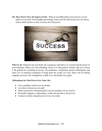**101. Have Power Over All Aspects of Life** - What an incredible thing to have power over all aspects of your life! Your thoughts and feelings create your life and because you can choose what to think and how to feel, you have all of the power.



What to do: Eliminate fear and doubt. Be courageous and believe in yourself and the power of your intentions. When you want something, focus on it with positive certainty that you will get it. Be grateful for everything every day. Use meditation, visualization, positive affirmations, and other Law of Attraction techniques to bring about the results you want. There will be nothing stopping you from a life of happiness, wealth, love, and health every again.

## **Affirmations for Total Power Over Your Life:**

- I have complete control over my destiny
- I am able to choose my own path
- When I am positive and determined, I can do anything I set my mind to
- My health, happiness, relationships, wealth and outcome is all up to me
- I create my reality using the power of my own mind